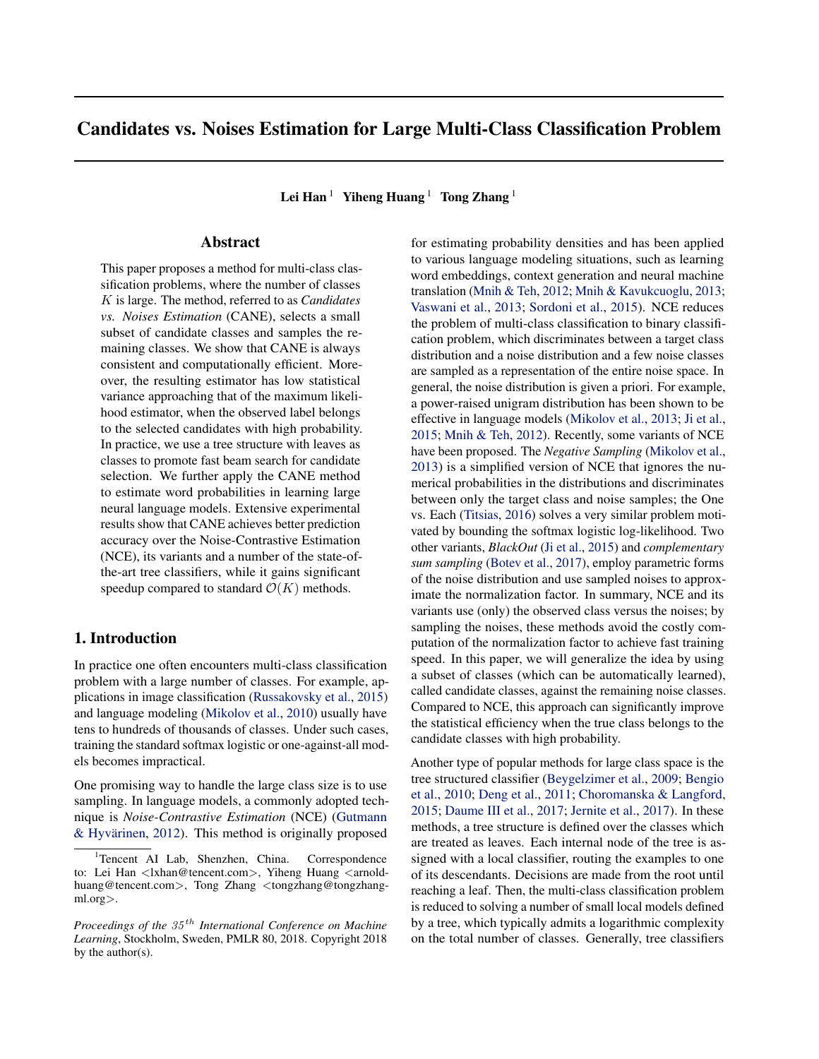# Candidates vs. Noises Estimation for Large Multi-Class Classification Problem

Lei Han  $1$  Yiheng Huang  $1$  Tong Zhang  $1$ 

### Abstract

This paper proposes a method for multi-class classification problems, where the number of classes K is large. The method, referred to as *Candidates vs. Noises Estimation* (CANE), selects a small subset of candidate classes and samples the remaining classes. We show that CANE is always consistent and computationally efficient. Moreover, the resulting estimator has low statistical variance approaching that of the maximum likelihood estimator, when the observed label belongs to the selected candidates with high probability. In practice, we use a tree structure with leaves as classes to promote fast beam search for candidate selection. We further apply the CANE method to estimate word probabilities in learning large neural language models. Extensive experimental results show that CANE achieves better prediction accuracy over the Noise-Contrastive Estimation (NCE), its variants and a number of the state-ofthe-art tree classifiers, while it gains significant speedup compared to standard  $\mathcal{O}(K)$  methods.

### 1. Introduction

In practice one often encounters multi-class classification problem with a large number of classes. For example, applications in image classification [\(Russakovsky et al.,](#page-8-0) [2015\)](#page-8-0) and language modeling [\(Mikolov et al.,](#page-8-0) [2010\)](#page-8-0) usually have tens to hundreds of thousands of classes. Under such cases, training the standard softmax logistic or one-against-all models becomes impractical.

One promising way to handle the large class size is to use sampling. In language models, a commonly adopted technique is *Noise-Contrastive Estimation* (NCE) [\(Gutmann](#page-8-0) & Hyvärinen,  $2012$ ). This method is originally proposed for estimating probability densities and has been applied to various language modeling situations, such as learning word embeddings, context generation and neural machine translation [\(Mnih & Teh,](#page-8-0) [2012;](#page-8-0) [Mnih & Kavukcuoglu,](#page-8-0) [2013;](#page-8-0) [Vaswani et al.,](#page-9-0) [2013;](#page-9-0) [Sordoni et al.,](#page-9-0) [2015\)](#page-9-0). NCE reduces the problem of multi-class classification to binary classification problem, which discriminates between a target class distribution and a noise distribution and a few noise classes are sampled as a representation of the entire noise space. In general, the noise distribution is given a priori. For example, a power-raised unigram distribution has been shown to be effective in language models [\(Mikolov et al.,](#page-8-0) [2013;](#page-8-0) [Ji et al.,](#page-8-0) [2015;](#page-8-0) [Mnih & Teh,](#page-8-0) [2012\)](#page-8-0). Recently, some variants of NCE have been proposed. The *Negative Sampling* [\(Mikolov et al.,](#page-8-0) [2013\)](#page-8-0) is a simplified version of NCE that ignores the numerical probabilities in the distributions and discriminates between only the target class and noise samples; the One vs. Each [\(Titsias,](#page-9-0) [2016\)](#page-9-0) solves a very similar problem motivated by bounding the softmax logistic log-likelihood. Two other variants, *BlackOut* [\(Ji et al.,](#page-8-0) [2015\)](#page-8-0) and *complementary sum sampling* [\(Botev et al.,](#page-8-0) [2017\)](#page-8-0), employ parametric forms of the noise distribution and use sampled noises to approximate the normalization factor. In summary, NCE and its variants use (only) the observed class versus the noises; by sampling the noises, these methods avoid the costly computation of the normalization factor to achieve fast training speed. In this paper, we will generalize the idea by using a subset of classes (which can be automatically learned), called candidate classes, against the remaining noise classes. Compared to NCE, this approach can significantly improve the statistical efficiency when the true class belongs to the candidate classes with high probability.

Another type of popular methods for large class space is the tree structured classifier [\(Beygelzimer et al.,](#page-8-0) [2009;](#page-8-0) [Bengio](#page-8-0) [et al.,](#page-8-0) [2010;](#page-8-0) [Deng et al.,](#page-8-0) [2011;](#page-8-0) [Choromanska & Langford,](#page-8-0) [2015;](#page-8-0) [Daume III et al.,](#page-8-0) [2017;](#page-8-0) [Jernite et al.,](#page-8-0) [2017\)](#page-8-0). In these methods, a tree structure is defined over the classes which are treated as leaves. Each internal node of the tree is assigned with a local classifier, routing the examples to one of its descendants. Decisions are made from the root until reaching a leaf. Then, the multi-class classification problem is reduced to solving a number of small local models defined by a tree, which typically admits a logarithmic complexity on the total number of classes. Generally, tree classifiers

<sup>&</sup>lt;sup>1</sup>Tencent AI Lab, Shenzhen, China. Correspondence to: Lei Han <lxhan@tencent.com>, Yiheng Huang <arnoldhuang@tencent.com>, Tong Zhang <tongzhang@tongzhangml.org>.

*Proceedings of the*  $35<sup>th</sup>$  *International Conference on Machine Learning*, Stockholm, Sweden, PMLR 80, 2018. Copyright 2018 by the author(s).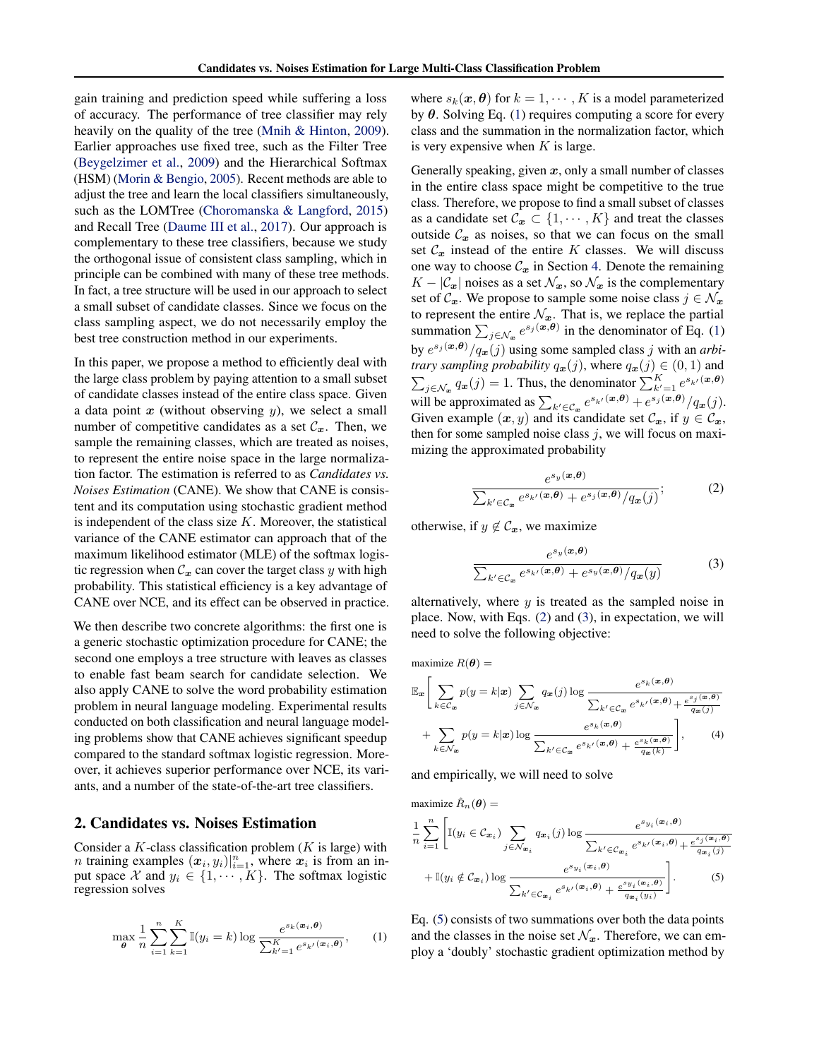<span id="page-1-0"></span>gain training and prediction speed while suffering a loss of accuracy. The performance of tree classifier may rely heavily on the quality of the tree [\(Mnih & Hinton,](#page-8-0) [2009\)](#page-8-0). Earlier approaches use fixed tree, such as the Filter Tree [\(Beygelzimer et al.,](#page-8-0) [2009\)](#page-8-0) and the Hierarchical Softmax (HSM) [\(Morin & Bengio,](#page-8-0) [2005\)](#page-8-0). Recent methods are able to adjust the tree and learn the local classifiers simultaneously, such as the LOMTree [\(Choromanska & Langford,](#page-8-0) [2015\)](#page-8-0) and Recall Tree [\(Daume III et al.,](#page-8-0) [2017\)](#page-8-0). Our approach is complementary to these tree classifiers, because we study the orthogonal issue of consistent class sampling, which in principle can be combined with many of these tree methods. In fact, a tree structure will be used in our approach to select a small subset of candidate classes. Since we focus on the class sampling aspect, we do not necessarily employ the best tree construction method in our experiments.

In this paper, we propose a method to efficiently deal with the large class problem by paying attention to a small subset of candidate classes instead of the entire class space. Given a data point  $x$  (without observing  $y$ ), we select a small number of competitive candidates as a set  $\mathcal{C}_x$ . Then, we sample the remaining classes, which are treated as noises, to represent the entire noise space in the large normalization factor. The estimation is referred to as *Candidates vs. Noises Estimation* (CANE). We show that CANE is consistent and its computation using stochastic gradient method is independent of the class size  $K$ . Moreover, the statistical variance of the CANE estimator can approach that of the maximum likelihood estimator (MLE) of the softmax logistic regression when  $C_x$  can cover the target class y with high probability. This statistical efficiency is a key advantage of CANE over NCE, and its effect can be observed in practice.

We then describe two concrete algorithms: the first one is a generic stochastic optimization procedure for CANE; the second one employs a tree structure with leaves as classes to enable fast beam search for candidate selection. We also apply CANE to solve the word probability estimation problem in neural language modeling. Experimental results conducted on both classification and neural language modeling problems show that CANE achieves significant speedup compared to the standard softmax logistic regression. Moreover, it achieves superior performance over NCE, its variants, and a number of the state-of-the-art tree classifiers.

### 2. Candidates vs. Noises Estimation

Consider a K-class classification problem  $(K$  is large) with *n* training examples  $(x_i, y_i)|_{i=1}^n$ , where  $x_i$  is from an input space X and  $y_i \in \{1, \dots, K\}$ . The softmax logistic regression solves

$$
\max_{\theta} \frac{1}{n} \sum_{i=1}^{n} \sum_{k=1}^{K} \mathbb{I}(y_i = k) \log \frac{e^{s_k(\bm{x}_i, \theta)}}{\sum_{k'=1}^{K} e^{s_k'(\bm{x}_i, \theta)}}, \quad (1)
$$

where  $s_k(\boldsymbol{x}, \boldsymbol{\theta})$  for  $k = 1, \dots, K$  is a model parameterized by  $\theta$ . Solving Eq. (1) requires computing a score for every class and the summation in the normalization factor, which is very expensive when  $K$  is large.

Generally speaking, given  $x$ , only a small number of classes in the entire class space might be competitive to the true class. Therefore, we propose to find a small subset of classes as a candidate set  $\mathcal{C}_x \subset \{1, \cdots, K\}$  and treat the classes outside  $\mathcal{C}_x$  as noises, so that we can focus on the small set  $C_x$  instead of the entire K classes. We will discuss one way to choose  $\mathcal{C}_x$  in Section [4.](#page-2-0) Denote the remaining  $K - |\mathcal{C}_x|$  noises as a set  $\mathcal{N}_x$ , so  $\mathcal{N}_x$  is the complementary set of  $\mathcal{C}_x$ . We propose to sample some noise class  $j \in \mathcal{N}_x$ to represent the entire  $\mathcal{N}_x$ . That is, we replace the partial summation  $\sum_{j \in \mathcal{N}_x} e^{s_j(x,\theta)}$  in the denominator of Eq. (1) by  $e^{s_j(x,\theta)}/q_x(j)$  using some sampled class j with an *arbitrary sampling probability*  $q_x(j)$ , where  $q_x(j) \in (0, 1)$  and  $\sum_{j \in \mathcal{N}_x} q_x(j) = 1$ . Thus, the denominator  $\sum_{k'=1}^K e^{s_{k'}(\boldsymbol{x}, \boldsymbol{\theta})}$ will be approximated as  $\sum_{k' \in \mathcal{C}_x} e^{s_{k'}(\boldsymbol{x}, \boldsymbol{\theta})} + e^{s_j(\boldsymbol{x}, \boldsymbol{\theta})}/q_{\boldsymbol{x}}(j)$ . Given example  $(x, y)$  and its candidate set  $\mathcal{C}_x$ , if  $y \in \mathcal{C}_x$ , then for some sampled noise class  $j$ , we will focus on maximizing the approximated probability

$$
\frac{e^{s_y(\boldsymbol{x}, \boldsymbol{\theta})}}{\sum_{k' \in \mathcal{C}_{\boldsymbol{x}}} e^{s_{k'}(\boldsymbol{x}, \boldsymbol{\theta})} + e^{s_j(\boldsymbol{x}, \boldsymbol{\theta})}/q_{\boldsymbol{x}}(j)};
$$
 (2)

otherwise, if  $y \notin \mathcal{C}_x$ , we maximize

$$
\frac{e^{s_y(\boldsymbol{x}, \boldsymbol{\theta})}}{\sum_{k' \in \mathcal{C}_{\boldsymbol{x}}} e^{s_{k'}(\boldsymbol{x}, \boldsymbol{\theta})} + e^{s_y(\boldsymbol{x}, \boldsymbol{\theta})}/q_{\boldsymbol{x}}(y)}
$$
(3)

alternatively, where  $y$  is treated as the sampled noise in place. Now, with Eqs. (2) and (3), in expectation, we will need to solve the following objective:

maximize  $R(\theta) =$ 

$$
\mathbb{E}_{\mathbf{x}} \Bigg[ \sum_{k \in \mathcal{C}_{\mathbf{x}}} p(y = k | \mathbf{x}) \sum_{j \in \mathcal{N}_{\mathbf{x}}} q_{\mathbf{x}}(j) \log \frac{e^{s_k(\mathbf{x}, \boldsymbol{\theta})}}{\sum_{k' \in \mathcal{C}_{\mathbf{x}}} e^{s_k(\mathbf{x}, \boldsymbol{\theta})} + \frac{e^{s_j(\mathbf{x}, \boldsymbol{\theta})}}{q_{\mathbf{x}}(j)}} + \sum_{k \in \mathcal{N}_{\mathbf{x}}} p(y = k | \mathbf{x}) \log \frac{e^{s_k(\mathbf{x}, \boldsymbol{\theta})}}{\sum_{k' \in \mathcal{C}_{\mathbf{x}}} e^{s_k(\mathbf{x}, \boldsymbol{\theta})} + \frac{e^{s_k(\mathbf{x}, \boldsymbol{\theta})}}{q_{\mathbf{x}}(k)}} \Bigg], \qquad (4)
$$

and empirically, we will need to solve

maximize  $\hat{R}_n(\theta) =$ 

$$
\frac{1}{n} \sum_{i=1}^{n} \left[ \mathbb{I}(y_i \in \mathcal{C}_{\boldsymbol{x}_i}) \sum_{j \in \mathcal{N}_{\boldsymbol{x}_i}} q_{\boldsymbol{x}_i}(j) \log \frac{e^{s_{y_i}(\boldsymbol{x}_i, \boldsymbol{\theta})}}{\sum_{k' \in \mathcal{C}_{\boldsymbol{x}_i}} e^{s_{k'}(\boldsymbol{x}_i, \boldsymbol{\theta})} + \frac{e^{s_j(\boldsymbol{x}_i, \boldsymbol{\theta})}}{q_{\boldsymbol{x}_i}(j)}} + \mathbb{I}(y_i \notin \mathcal{C}_{\boldsymbol{x}_i}) \log \frac{e^{s_{y_i}(\boldsymbol{x}_i, \boldsymbol{\theta})}}{\sum_{k' \in \mathcal{C}_{\boldsymbol{x}_i}} e^{s_{k'}(\boldsymbol{x}_i, \boldsymbol{\theta})} + \frac{e^{s_{y_i}(\boldsymbol{x}_i, \boldsymbol{\theta})}}{q_{\boldsymbol{x}_i}(y_i)}} \right].
$$
\n(5)

Eq. (5) consists of two summations over both the data points and the classes in the noise set  $\mathcal{N}_x$ . Therefore, we can employ a 'doubly' stochastic gradient optimization method by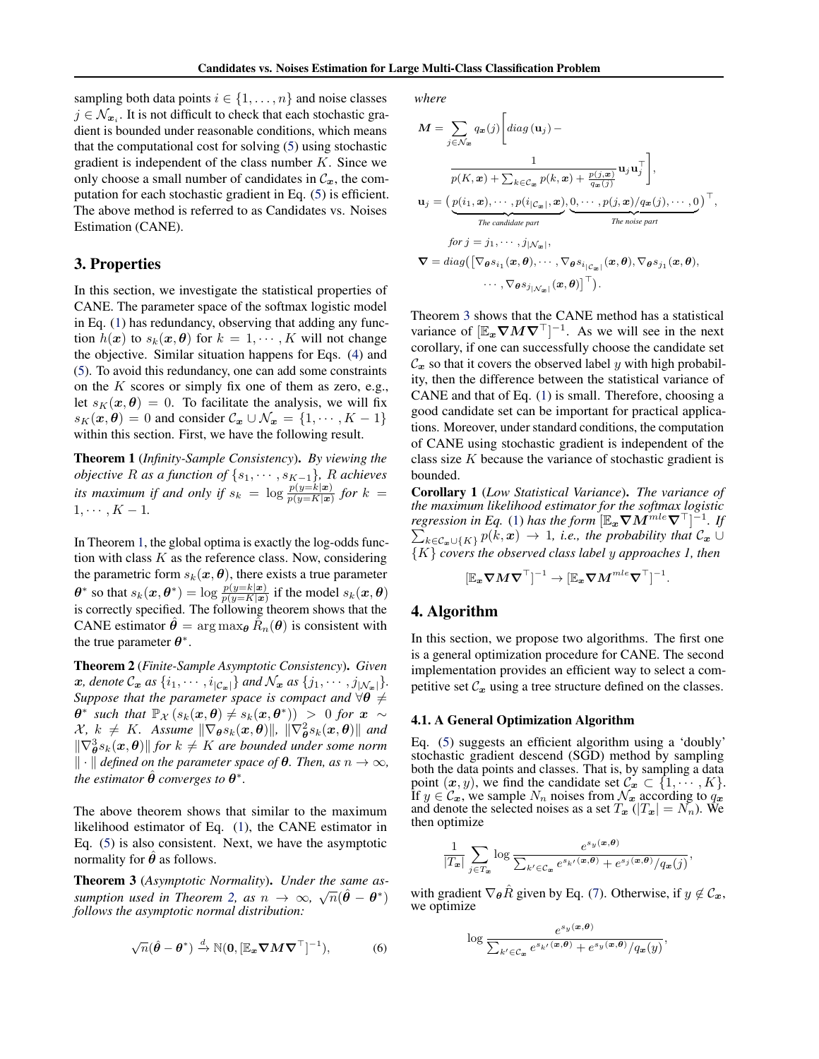<span id="page-2-0"></span>sampling both data points  $i \in \{1, \ldots, n\}$  and noise classes  $j \in \mathcal{N}_{x_i}$ . It is not difficult to check that each stochastic gradient is bounded under reasonable conditions, which means that the computational cost for solving [\(5\)](#page-1-0) using stochastic gradient is independent of the class number  $K$ . Since we only choose a small number of candidates in  $\mathcal{C}_x$ , the computation for each stochastic gradient in Eq. [\(5\)](#page-1-0) is efficient. The above method is referred to as Candidates vs. Noises Estimation (CANE).

### 3. Properties

In this section, we investigate the statistical properties of CANE. The parameter space of the softmax logistic model in Eq. [\(1\)](#page-1-0) has redundancy, observing that adding any function  $h(x)$  to  $s_k(x, \theta)$  for  $k = 1, \dots, K$  will not change the objective. Similar situation happens for Eqs. [\(4\)](#page-1-0) and [\(5\)](#page-1-0). To avoid this redundancy, one can add some constraints on the  $K$  scores or simply fix one of them as zero, e.g., let  $s_K(\mathbf{x}, \theta) = 0$ . To facilitate the analysis, we will fix  $s_K(\mathbf{x}, \theta) = 0$  and consider  $\mathcal{C}_\mathbf{x} \cup \mathcal{N}_\mathbf{x} = \{1, \cdots, K - 1\}$ within this section. First, we have the following result.

Theorem 1 (*Infinity-Sample Consistency*). *By viewing the objective* R as a function of  $\{s_1, \dots, s_{K-1}\}$ , R achieves *its maximum if and only if*  $s_k = \log \frac{p(y=k|\mathbf{x})}{p(y=k|\mathbf{x})}$  for  $k =$  $1, \cdots, K - 1.$ 

In Theorem 1, the global optima is exactly the log-odds function with class  $K$  as the reference class. Now, considering the parametric form  $s_k(x, \theta)$ , there exists a true parameter  $\theta^*$  so that  $s_k(\bm{x}, \theta^*) = \log \frac{p(y=k|\bm{x})}{p(y=K|\bm{x})}$  if the model  $s_k(\bm{x}, \theta)$ is correctly specified. The following theorem shows that the CANE estimator  $\hat{\theta} = \arg \max_{\theta} \tilde{R}_n(\theta)$  is consistent with the true parameter  $\theta^*$ .

Theorem 2 (*Finite-Sample Asymptotic Consistency*). *Given* x, denote  $\mathcal{C}_x$  as  $\{i_1, \cdots, i_{|\mathcal{C}_x|}\}$  and  $\mathcal{N}_x$  as  $\{j_1, \cdots, j_{|\mathcal{N}_x|}\}.$ *Suppose that the parameter space is compact and*  $\forall \theta \neq$  $\theta^*$  such that  $\mathbb{P}_{\mathcal{X}}(s_k(\boldsymbol{x},\boldsymbol{\theta}) \neq s_k(\boldsymbol{x},\boldsymbol{\theta}^*))$  > 0 for  $\boldsymbol{x} \sim$  $\mathcal{X}, k \neq K$ . Assume  $\|\nabla_{\theta} s_k(\bm{x}, \theta)\|$ ,  $\|\nabla_{\theta}^2 s_k(\bm{x}, \theta)\|$  and  $\|\nabla_{\boldsymbol{\theta}}^3 s_k(\boldsymbol{x}, \boldsymbol{\theta})\|$  for  $k \neq K$  are bounded under some norm  $\Vert \cdot \Vert$  *defined on the parameter space of*  $\theta$ *. Then, as*  $n \to \infty$ *, the estimator*  $\hat{\theta}$  *converges to*  $\theta^*$ *.* 

The above theorem shows that similar to the maximum likelihood estimator of Eq. [\(1\)](#page-1-0), the CANE estimator in Eq. [\(5\)](#page-1-0) is also consistent. Next, we have the asymptotic normality for  $\hat{\theta}$  as follows.

Theorem 3 (*Asymptotic Normality*). *Under the same as-*√ *sumption used in Theorem 2, as*  $n \to \infty$ *,*  $\sqrt{n}(\hat{\theta} - \theta^*)$ *follows the asymptotic normal distribution:*

$$
\sqrt{n}(\hat{\boldsymbol{\theta}} - \boldsymbol{\theta}^*) \stackrel{d}{\to} \mathbb{N}(\mathbf{0}, [\mathbb{E}_{\boldsymbol{x}} \boldsymbol{\nabla} \boldsymbol{M} \boldsymbol{\nabla}^\top]^{-1}),
$$
 (6)

*where*

 $\mathbf{r}$ 

$$
M = \sum_{j \in \mathcal{N}_{\mathbf{x}}} q_{\mathbf{x}}(j) \left[ diag(\mathbf{u}_{j}) - \frac{1}{p(K, \mathbf{x}) + \sum_{k \in \mathcal{C}_{\mathbf{x}}} p(k, \mathbf{x}) + \frac{p(j, \mathbf{x})}{q_{\mathbf{x}}(j)} \mathbf{u}_{j}^{\top} \right],
$$
  

$$
\mathbf{u}_{j} = \left( \underbrace{p(i_{1}, \mathbf{x}), \cdots, p(i_{|\mathcal{C}_{\mathbf{x}}|}, \mathbf{x})}_{\text{The candidate part}}, \underbrace{0, \cdots, p(j, \mathbf{x}) / q_{\mathbf{x}}(j), \cdots, 0}_{\text{The noise part}} \right)^{\top},
$$
  

$$
for j = j_{1}, \cdots, j_{|\mathcal{N}_{\mathbf{x}}|},
$$
  

$$
\nabla = diag\left( \left[ \nabla_{\boldsymbol{\theta}} s_{i_{1}}(\mathbf{x}, \boldsymbol{\theta}), \cdots, \nabla_{\boldsymbol{\theta}} s_{i_{|\mathcal{C}_{\mathbf{x}}|}}(\mathbf{x}, \boldsymbol{\theta}), \nabla_{\boldsymbol{\theta}} s_{j_{1}}(\mathbf{x}, \boldsymbol{\theta}), \cdots, \nabla_{\boldsymbol{\theta}} s_{j_{|\mathcal{C}_{\mathbf{x}}|}}(\mathbf{x}, \boldsymbol{\theta}) \right)^{\top}.
$$

Theorem 3 shows that the CANE method has a statistical variance of  $[\mathbb{E}_x \nabla M \nabla^{\top}]^{-1}$ . As we will see in the next corollary, if one can successfully choose the candidate set  $\mathcal{C}_x$  so that it covers the observed label y with high probability, then the difference between the statistical variance of CANE and that of Eq. [\(1\)](#page-1-0) is small. Therefore, choosing a good candidate set can be important for practical applications. Moreover, under standard conditions, the computation of CANE using stochastic gradient is independent of the class size K because the variance of stochastic gradient is bounded.

Corollary 1 (*Low Statistical Variance*). *The variance of the maximum likelihood estimator for the softmax logistic* regression in Eq. [\(1\)](#page-1-0) has the form  $[\mathbb{E}_{{\bm{x}}}\boldsymbol{\nabla} \boldsymbol{M}^{mle}\boldsymbol{\nabla}^\top]^{-1}$ P *. If*  $\lim_{k \in \mathcal{C}_{\bm{x}} \cup \{K\}} p(k, \bm{x}) \to 1$ , *i.e., the probability that*  $\mathcal{C}_{\bm{x}} \cup$ {K} *covers the observed class label* y *approaches 1, then*

$$
[\mathbb{E}_{{\boldsymbol x}} \boldsymbol{\nabla} {\boldsymbol M} \boldsymbol{\nabla}^\top]^{-1} \to [\mathbb{E}_{{\boldsymbol x}} \boldsymbol{\nabla} {\boldsymbol M}^{mle} \boldsymbol{\nabla}^\top]^{-1}.
$$

### 4. Algorithm

In this section, we propose two algorithms. The first one is a general optimization procedure for CANE. The second implementation provides an efficient way to select a competitive set  $\mathcal{C}_x$  using a tree structure defined on the classes.

#### 4.1. A General Optimization Algorithm

Eq. [\(5\)](#page-1-0) suggests an efficient algorithm using a 'doubly' stochastic gradient descend (SGD) method by sampling both the data points and classes. That is, by sampling a data point  $(x, y)$ , we find the candidate set  $\mathcal{C}_x \subset \{1, \cdots, K\}.$ If  $y \in C_x$ , we sample  $N_n$  noises from  $\mathcal{N}_x$  according to  $q_x$ and denote the selected noises as a set  $T_x$  ( $|T_x| = N_n$ ). We then optimize

$$
\frac{1}{|T_{\boldsymbol{x}}|} \sum_{j \in T_{\boldsymbol{x}}} \log \frac{e^{s_y(\boldsymbol{x}, \boldsymbol{\theta})}}{\sum_{k' \in \mathcal{C}_{\boldsymbol{x}}} e^{s_{k'}(\boldsymbol{x}, \boldsymbol{\theta})} + e^{s_j(\boldsymbol{x}, \boldsymbol{\theta})}/q_{\boldsymbol{x}}(j)},
$$

with gradient  $\nabla_{\theta} \hat{R}$  given by Eq. [\(7\)](#page-3-0). Otherwise, if  $y \notin \mathcal{C}_x$ , we optimize

$$
\log \frac{e^{s_y(\boldsymbol{x}, \boldsymbol{\theta})}}{\sum_{k' \in \mathcal{C}_{\boldsymbol{x}}} e^{s_{k'}(\boldsymbol{x}, \boldsymbol{\theta})} + e^{s_y(\boldsymbol{x}, \boldsymbol{\theta})}/q_{\boldsymbol{x}}(y)},
$$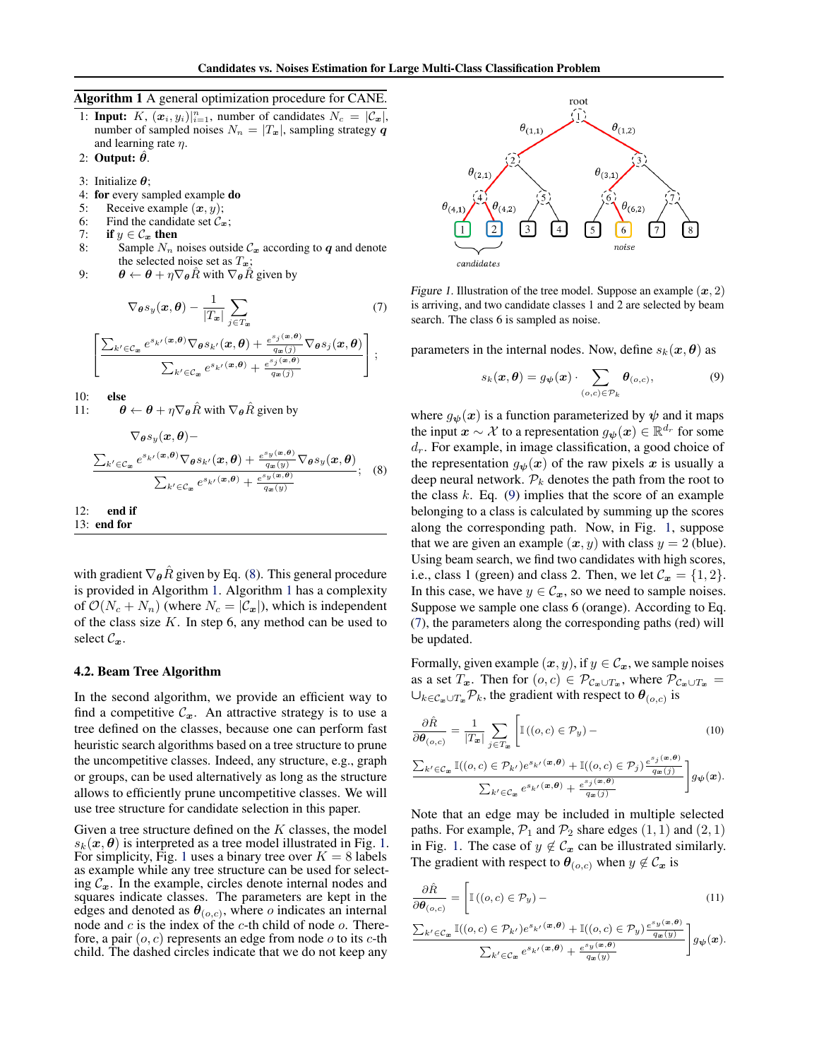<span id="page-3-0"></span>Algorithm 1 A general optimization procedure for CANE.

- 1: **Input:** K,  $(x_i, y_i)|_{i=1}^n$ , number of candidates  $N_c = |\mathcal{C}_x|$ , number of sampled noises  $N_n = |T_x|$ , sampling strategy q and learning rate  $\eta$ .
- 2: Output:  $\ddot{\theta}$ .
- 3: Initialize  $\theta$ ;
- 4: for every sampled example do
- 5: Receive example  $(x, y)$ ;
- 6: Find the candidate set  $\mathcal{C}_x$ ;
- 7: **if**  $y \in C_x$  then<br>8: Sample  $N_n$  if
- Sample  $N_n$  noises outside  $\mathcal{C}_x$  according to  $q$  and denote the selected noise set as  $T_x$ ;
- 9:  $\theta \leftarrow \theta + \eta \nabla_{\theta} \hat{R}$  with  $\nabla_{\theta} \hat{R}$  given by

$$
\nabla_{\theta} s_y(\mathbf{x}, \theta) - \frac{1}{|T_{\mathbf{x}}|} \sum_{j \in T_{\mathbf{x}}} \tag{7}
$$
\n
$$
\frac{\sum_{k' \in C_{\mathbf{x}}} e^{s_{k'}(\mathbf{x}, \theta)} \nabla_{\theta} s_{k'}(\mathbf{x}, \theta) + \frac{e^{s_j(\mathbf{x}, \theta)}}{q_{\mathbf{x}}(j)} \nabla_{\theta} s_j(\mathbf{x}, \theta)}{\sum_{k' \in C_{\mathbf{x}}} e^{s_{k'}(\mathbf{x}, \theta)} + \frac{e^{s_j(\mathbf{x}, \theta)}}{q_{\mathbf{x}}(j)}} \bigg];
$$

10: **else**<br>11:  $\theta$ 

 $\Gamma$  $\overline{1}$ 

 $\theta \leftarrow \theta + \eta \nabla_{\theta} \hat{R}$  with  $\nabla_{\theta} \hat{R}$  given by

$$
\nabla_{\theta} s_y(\boldsymbol{x}, \boldsymbol{\theta}) - \frac{\sum_{k' \in C_{\boldsymbol{x}}} e^{s_{k'}(\boldsymbol{x}, \boldsymbol{\theta})} \nabla_{\boldsymbol{\theta}} s_{k'}(\boldsymbol{x}, \boldsymbol{\theta}) + \frac{e^{s_y(\boldsymbol{x}, \boldsymbol{\theta})}}{q_{\boldsymbol{x}}(y)} \nabla_{\boldsymbol{\theta}} s_y(\boldsymbol{x}, \boldsymbol{\theta})}{\sum_{k' \in C_{\boldsymbol{x}}} e^{s_{k'}(\boldsymbol{x}, \boldsymbol{\theta})} + \frac{e^{s_y(\boldsymbol{x}, \boldsymbol{\theta})}}{q_{\boldsymbol{x}}(y)}}; \quad (8)
$$

12: end if

13: end for

with gradient  $\nabla_{\theta}R$  given by Eq. (8). This general procedure is provided in Algorithm 1. Algorithm 1 has a complexity of  $\mathcal{O}(N_c + N_n)$  (where  $N_c = |\mathcal{C}_x|$ ), which is independent of the class size  $K$ . In step 6, any method can be used to select  $\mathcal{C}_x$ .

#### 4.2. Beam Tree Algorithm

In the second algorithm, we provide an efficient way to find a competitive  $\mathcal{C}_x$ . An attractive strategy is to use a tree defined on the classes, because one can perform fast heuristic search algorithms based on a tree structure to prune the uncompetitive classes. Indeed, any structure, e.g., graph or groups, can be used alternatively as long as the structure allows to efficiently prune uncompetitive classes. We will use tree structure for candidate selection in this paper.

Given a tree structure defined on the  $K$  classes, the model  $s_k(x, \theta)$  is interpreted as a tree model illustrated in Fig. 1. For simplicity, Fig. 1 uses a binary tree over  $K = 8$  labels as example while any tree structure can be used for selecting  $C_x$ . In the example, circles denote internal nodes and squares indicate classes. The parameters are kept in the edges and denoted as  $\theta_{(o,c)}$ , where o indicates an internal node and  $c$  is the index of the  $c$ -th child of node  $o$ . Therefore, a pair  $(o, c)$  represents an edge from node o to its c-th child. The dashed circles indicate that we do not keep any



Figure 1. Illustration of the tree model. Suppose an example  $(x, 2)$ is arriving, and two candidate classes 1 and 2 are selected by beam search. The class 6 is sampled as noise.

parameters in the internal nodes. Now, define  $s_k(x, \theta)$  as

$$
s_k(\boldsymbol{x}, \boldsymbol{\theta}) = g_{\boldsymbol{\psi}}(\boldsymbol{x}) \cdot \sum_{(o,c) \in \mathcal{P}_k} \boldsymbol{\theta}_{(o,c)},
$$
(9)

where  $g_{\psi}(x)$  is a function parameterized by  $\psi$  and it maps the input  $\mathbf{x} \sim \mathcal{X}$  to a representation  $g_{\boldsymbol{\psi}}(\mathbf{x}) \in \mathbb{R}^{d_r}$  for some  $d_r$ . For example, in image classification, a good choice of the representation  $g_{\psi}(x)$  of the raw pixels x is usually a deep neural network.  $P_k$  denotes the path from the root to the class  $k$ . Eq. (9) implies that the score of an example belonging to a class is calculated by summing up the scores along the corresponding path. Now, in Fig. 1, suppose that we are given an example  $(x, y)$  with class  $y = 2$  (blue). Using beam search, we find two candidates with high scores, i.e., class 1 (green) and class 2. Then, we let  $\mathcal{C}_x = \{1, 2\}$ . In this case, we have  $y \in C_x$ , so we need to sample noises. Suppose we sample one class 6 (orange). According to Eq. (7), the parameters along the corresponding paths (red) will be updated.

Formally, given example  $(x, y)$ , if  $y \in \mathcal{C}_x$ , we sample noises as a set  $T_x$ . Then for  $(o, c) \in \mathcal{P}_{\mathcal{C}_x \cup T_x}$ , where  $\mathcal{P}_{\mathcal{C}_x \cup T_x}$  $\bigcup_{k \in \mathcal{C}_x \cup T_x} \mathcal{P}_k$ , the gradient with respect to  $\theta_{(o,c)}$  is

$$
\frac{\partial \hat{R}}{\partial \theta_{(o,c)}} = \frac{1}{|T_x|} \sum_{j \in T_x} \left[ \mathbb{I}\left((o,c) \in \mathcal{P}_y\right) - \frac{\sum_{k' \in C_x} \mathbb{I}\left((o,c) \in \mathcal{P}_{k'}\right) e^{s_k(x,\theta)} + \mathbb{I}\left((o,c) \in \mathcal{P}_j\right) e^{s_j(x,\theta)}}{\sum_{k' \in C_x} e^{s_k(x,\theta)} + \frac{e^{s_j(x,\theta)}}{q_x(j)}} \right] g_{\psi}(x).
$$
\n(10)

Note that an edge may be included in multiple selected paths. For example,  $P_1$  and  $P_2$  share edges  $(1, 1)$  and  $(2, 1)$ in Fig. 1. The case of  $y \notin C_x$  can be illustrated similarly. The gradient with respect to  $\theta_{(o,c)}$  when  $y \notin \mathcal{C}_x$  is

$$
\frac{\partial \hat{R}}{\partial \theta_{(o,c)}} = \left[ \mathbb{I}\left( (o,c) \in \mathcal{P}_y \right) - \frac{\sum_{k' \in \mathcal{C}_{\mathbf{x}}} \mathbb{I}\left( (o,c) \in \mathcal{P}_{k'} \right) e^{s_k / (\mathbf{x}, \boldsymbol{\theta})} + \mathbb{I}\left( (o,c) \in \mathcal{P}_y \right) \frac{e^{s_y (\mathbf{x}, \boldsymbol{\theta})}}{q_{\mathbf{x}}(y)}}{\sum_{k' \in \mathcal{C}_{\mathbf{x}}} e^{s_{k'} (\mathbf{x}, \boldsymbol{\theta})} + \frac{e^{s_y (\mathbf{x}, \boldsymbol{\theta})}}{q_{\mathbf{x}}(y)}} \right] g_{\psi}(\mathbf{x}).
$$
\n(11)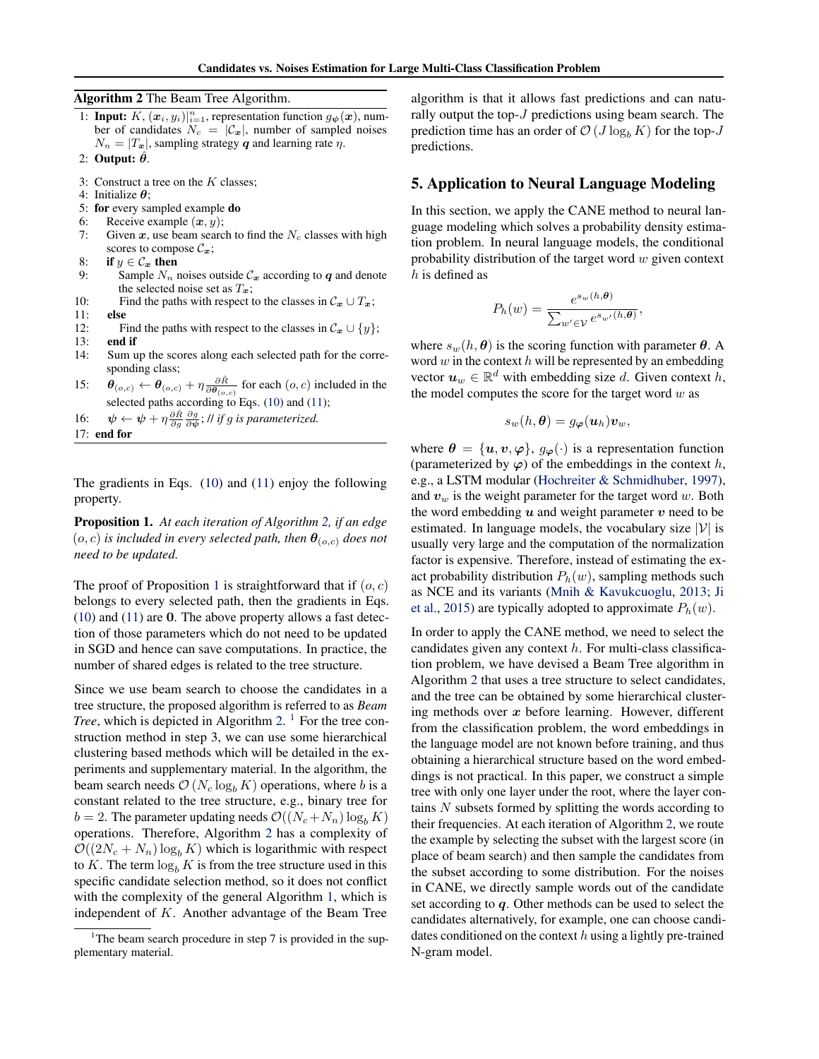<span id="page-4-0"></span>Algorithm 2 The Beam Tree Algorithm.

- 1: **Input:**  $K$ ,  $(\boldsymbol{x}_i, y_i)|_{i=1}^n$ , representation function  $g_{\boldsymbol{\psi}}(\boldsymbol{x})$ , number of candidates  $N_c = |\mathcal{C}_x|$ , number of sampled noises  $N_n = |T_x|$ , sampling strategy q and learning rate  $\eta$ .
- 2: Output:  $\ddot{\theta}$ .
- 3: Construct a tree on the  $K$  classes;
- 4: Initialize  $\theta$ :
- 5: for every sampled example do
- 6: Receive example  $(x, y)$ ;
- 7: Given  $x$ , use beam search to find the  $N_c$  classes with high scores to compose  $\mathcal{C}_x$ ;
- 8: if  $y \in \mathcal{C}_x$  then
- 9: Sample  $N_n$  noises outside  $C_x$  according to q and denote the selected noise set as  $T_{\boldsymbol{x}}$ ;
- 10: Find the paths with respect to the classes in  $C_x \cup T_x$ ;
- 11: else
- 12: Find the paths with respect to the classes in  $\mathcal{C}_x \cup \{y\}$ ;
- 13: end if
- 14: Sum up the scores along each selected path for the corresponding class;
- 15:  $\theta_{(o,c)} \leftarrow \theta_{(o,c)} + \eta \frac{\partial \hat{R}}{\partial \theta}$  $\frac{\partial R}{\partial \theta_{(o,c)}}$  for each  $(o, c)$  included in the selected paths according to Eqs. [\(10\)](#page-3-0) and [\(11\)](#page-3-0);
- 16:  $\psi \leftarrow \psi + \eta \frac{\partial \hat{R}}{\partial g} \frac{\partial g}{\partial \psi}$ ; // *if g is parameterized.*
- 17: end for

The gradients in Eqs. [\(10\)](#page-3-0) and [\(11\)](#page-3-0) enjoy the following property.

Proposition 1. *At each iteration of Algorithm 2, if an edge*  $(o, c)$  *is included in every selected path, then*  $\theta_{(o, c)}$  *does not need to be updated.*

The proof of Proposition 1 is straightforward that if  $(o, c)$ belongs to every selected path, then the gradients in Eqs. [\(10\)](#page-3-0) and [\(11\)](#page-3-0) are 0. The above property allows a fast detection of those parameters which do not need to be updated in SGD and hence can save computations. In practice, the number of shared edges is related to the tree structure.

Since we use beam search to choose the candidates in a tree structure, the proposed algorithm is referred to as *Beam Tree*, which is depicted in Algorithm 2. <sup>1</sup> For the tree construction method in step 3, we can use some hierarchical clustering based methods which will be detailed in the experiments and supplementary material. In the algorithm, the beam search needs  $\mathcal{O}(N_c \log_b K)$  operations, where b is a constant related to the tree structure, e.g., binary tree for  $b = 2$ . The parameter updating needs  $\mathcal{O}((N_c+N_n) \log_b K)$ operations. Therefore, Algorithm 2 has a complexity of  $\mathcal{O}((2N_c + N_n) \log_b K)$  which is logarithmic with respect to K. The term  $log_b K$  is from the tree structure used in this specific candidate selection method, so it does not conflict with the complexity of the general Algorithm [1,](#page-3-0) which is independent of K. Another advantage of the Beam Tree

algorithm is that it allows fast predictions and can naturally output the top- $J$  predictions using beam search. The prediction time has an order of  $\mathcal{O}(J \log_b K)$  for the top-J predictions.

### 5. Application to Neural Language Modeling

In this section, we apply the CANE method to neural language modeling which solves a probability density estimation problem. In neural language models, the conditional probability distribution of the target word  $w$  given context  $h$  is defined as

$$
P_h(w) = \frac{e^{s_w(h,\boldsymbol{\theta})}}{\sum_{w' \in \mathcal{V}} e^{s_{w'}(h,\boldsymbol{\theta})}}
$$

,

where  $s_w(h, \theta)$  is the scoring function with parameter  $\theta$ . A word  $w$  in the context  $h$  will be represented by an embedding vector  $u_w \in \mathbb{R}^d$  with embedding size d. Given context h, the model computes the score for the target word  $w$  as

$$
s_w(h,\boldsymbol{\theta})=g_{\boldsymbol{\varphi}}(\boldsymbol{u}_h)\boldsymbol{v}_w,
$$

where  $\theta = {\mathbf{u}, \mathbf{v}, \varphi}$ ,  $g_{\varphi}(\cdot)$  is a representation function (parameterized by  $\varphi$ ) of the embeddings in the context h, e.g., a LSTM modular [\(Hochreiter & Schmidhuber,](#page-8-0) [1997\)](#page-8-0), and  $v_w$  is the weight parameter for the target word w. Both the word embedding  $u$  and weight parameter  $v$  need to be estimated. In language models, the vocabulary size  $|V|$  is usually very large and the computation of the normalization factor is expensive. Therefore, instead of estimating the exact probability distribution  $P_h(w)$ , sampling methods such as NCE and its variants [\(Mnih & Kavukcuoglu,](#page-8-0) [2013;](#page-8-0) [Ji](#page-8-0) [et al.,](#page-8-0) [2015\)](#page-8-0) are typically adopted to approximate  $P_h(w)$ .

In order to apply the CANE method, we need to select the candidates given any context  $h$ . For multi-class classification problem, we have devised a Beam Tree algorithm in Algorithm 2 that uses a tree structure to select candidates, and the tree can be obtained by some hierarchical clustering methods over  $x$  before learning. However, different from the classification problem, the word embeddings in the language model are not known before training, and thus obtaining a hierarchical structure based on the word embeddings is not practical. In this paper, we construct a simple tree with only one layer under the root, where the layer contains N subsets formed by splitting the words according to their frequencies. At each iteration of Algorithm 2, we route the example by selecting the subset with the largest score (in place of beam search) and then sample the candidates from the subset according to some distribution. For the noises in CANE, we directly sample words out of the candidate set according to  $q$ . Other methods can be used to select the candidates alternatively, for example, one can choose candidates conditioned on the context  $h$  using a lightly pre-trained N-gram model.

<sup>&</sup>lt;sup>1</sup>The beam search procedure in step 7 is provided in the supplementary material.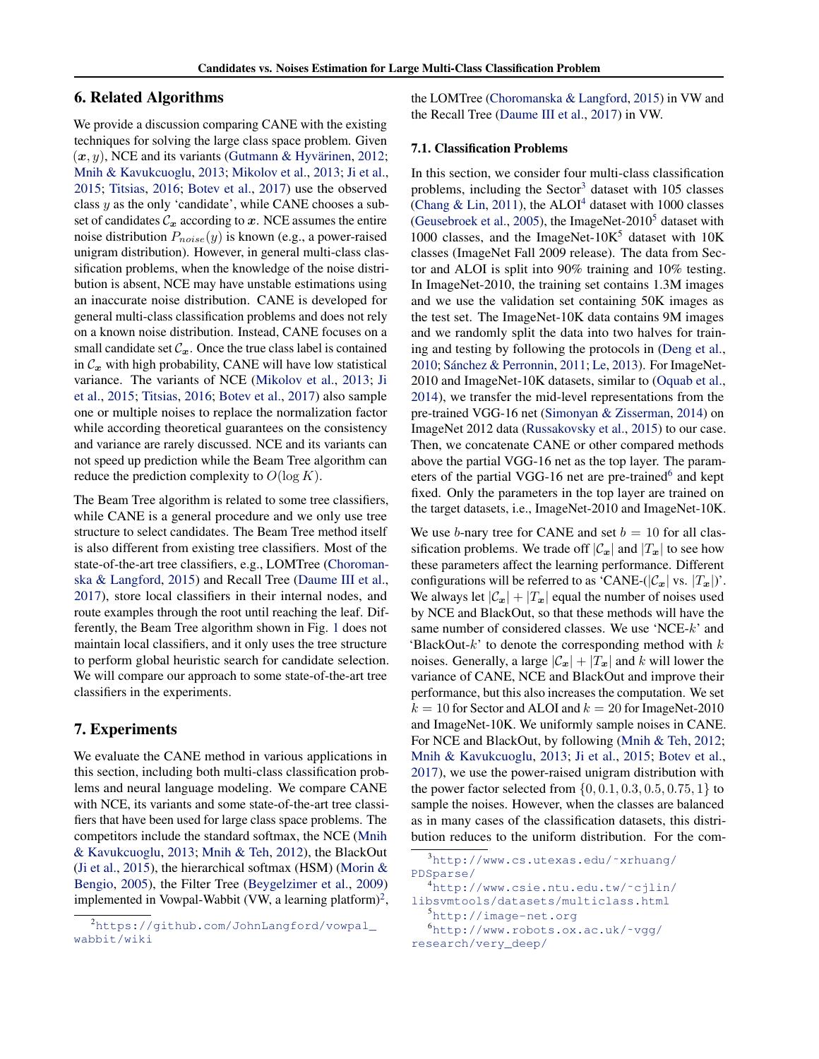### 6. Related Algorithms

We provide a discussion comparing CANE with the existing techniques for solving the large class space problem. Given  $(x, y)$ , NCE and its variants (Gutmann & Hyvärinen, [2012;](#page-8-0) [Mnih & Kavukcuoglu,](#page-8-0) [2013;](#page-8-0) [Mikolov et al.,](#page-8-0) [2013;](#page-8-0) [Ji et al.,](#page-8-0) [2015;](#page-8-0) [Titsias,](#page-9-0) [2016;](#page-9-0) [Botev et al.,](#page-8-0) [2017\)](#page-8-0) use the observed class  $y$  as the only 'candidate', while CANE chooses a subset of candidates  $\mathcal{C}_x$  according to  $x$ . NCE assumes the entire noise distribution  $P_{noise}(y)$  is known (e.g., a power-raised unigram distribution). However, in general multi-class classification problems, when the knowledge of the noise distribution is absent, NCE may have unstable estimations using an inaccurate noise distribution. CANE is developed for general multi-class classification problems and does not rely on a known noise distribution. Instead, CANE focuses on a small candidate set  $\mathcal{C}_x$ . Once the true class label is contained in  $C_x$  with high probability, CANE will have low statistical variance. The variants of NCE [\(Mikolov et al.,](#page-8-0) [2013;](#page-8-0) [Ji](#page-8-0) [et al.,](#page-8-0) [2015;](#page-8-0) [Titsias,](#page-9-0) [2016;](#page-9-0) [Botev et al.,](#page-8-0) [2017\)](#page-8-0) also sample one or multiple noises to replace the normalization factor while according theoretical guarantees on the consistency and variance are rarely discussed. NCE and its variants can not speed up prediction while the Beam Tree algorithm can reduce the prediction complexity to  $O(\log K)$ .

The Beam Tree algorithm is related to some tree classifiers, while CANE is a general procedure and we only use tree structure to select candidates. The Beam Tree method itself is also different from existing tree classifiers. Most of the state-of-the-art tree classifiers, e.g., LOMTree [\(Choroman](#page-8-0)[ska & Langford,](#page-8-0) [2015\)](#page-8-0) and Recall Tree [\(Daume III et al.,](#page-8-0) [2017\)](#page-8-0), store local classifiers in their internal nodes, and route examples through the root until reaching the leaf. Differently, the Beam Tree algorithm shown in Fig. [1](#page-3-0) does not maintain local classifiers, and it only uses the tree structure to perform global heuristic search for candidate selection. We will compare our approach to some state-of-the-art tree classifiers in the experiments.

#### 7. Experiments

We evaluate the CANE method in various applications in this section, including both multi-class classification problems and neural language modeling. We compare CANE with NCE, its variants and some state-of-the-art tree classifiers that have been used for large class space problems. The competitors include the standard softmax, the NCE [\(Mnih](#page-8-0) [& Kavukcuoglu,](#page-8-0) [2013;](#page-8-0) [Mnih & Teh,](#page-8-0) [2012\)](#page-8-0), the BlackOut [\(Ji et al.,](#page-8-0) [2015\)](#page-8-0), the hierarchical softmax (HSM) (Morin  $&$ [Bengio,](#page-8-0) [2005\)](#page-8-0), the Filter Tree [\(Beygelzimer et al.,](#page-8-0) [2009\)](#page-8-0) implemented in Vowpal-Wabbit (VW, a learning platform)<sup>2</sup>,

the LOMTree [\(Choromanska & Langford,](#page-8-0) [2015\)](#page-8-0) in VW and the Recall Tree [\(Daume III et al.,](#page-8-0) [2017\)](#page-8-0) in VW.

#### 7.1. Classification Problems

In this section, we consider four multi-class classification problems, including the Sector<sup>3</sup> dataset with  $105$  classes [\(Chang & Lin,](#page-8-0) [2011\)](#page-8-0), the ALOI<sup>4</sup> dataset with 1000 classes [\(Geusebroek et al.,](#page-8-0) [2005\)](#page-8-0), the ImageNet- $2010<sup>5</sup>$  dataset with 1000 classes, and the ImageNet- $10K^5$  dataset with 10K classes (ImageNet Fall 2009 release). The data from Sector and ALOI is split into 90% training and 10% testing. In ImageNet-2010, the training set contains 1.3M images and we use the validation set containing 50K images as the test set. The ImageNet-10K data contains 9M images and we randomly split the data into two halves for training and testing by following the protocols in [\(Deng et al.,](#page-8-0) [2010;](#page-8-0) Sánchez & Perronnin, [2011;](#page-9-0) [Le,](#page-8-0) [2013\)](#page-8-0). For ImageNet-2010 and ImageNet-10K datasets, similar to [\(Oquab et al.,](#page-8-0) [2014\)](#page-8-0), we transfer the mid-level representations from the pre-trained VGG-16 net [\(Simonyan & Zisserman,](#page-9-0) [2014\)](#page-9-0) on ImageNet 2012 data [\(Russakovsky et al.,](#page-8-0) [2015\)](#page-8-0) to our case. Then, we concatenate CANE or other compared methods above the partial VGG-16 net as the top layer. The parameters of the partial VGG-16 net are pre-trained<sup>6</sup> and kept fixed. Only the parameters in the top layer are trained on the target datasets, i.e., ImageNet-2010 and ImageNet-10K.

We use b-nary tree for CANE and set  $b = 10$  for all classification problems. We trade off  $|\mathcal{C}_x|$  and  $|T_x|$  to see how these parameters affect the learning performance. Different configurations will be referred to as 'CANE-( $|\mathcal{C}_x|$  vs.  $|T_x|$ )'. We always let  $|\mathcal{C}_x| + |T_x|$  equal the number of noises used by NCE and BlackOut, so that these methods will have the same number of considered classes. We use 'NCE-k' and 'BlackOut- $k$ ' to denote the corresponding method with  $k$ noises. Generally, a large  $|\mathcal{C}_x| + |T_x|$  and k will lower the variance of CANE, NCE and BlackOut and improve their performance, but this also increases the computation. We set  $k = 10$  for Sector and ALOI and  $k = 20$  for ImageNet-2010 and ImageNet-10K. We uniformly sample noises in CANE. For NCE and BlackOut, by following [\(Mnih & Teh,](#page-8-0) [2012;](#page-8-0) [Mnih & Kavukcuoglu,](#page-8-0) [2013;](#page-8-0) [Ji et al.,](#page-8-0) [2015;](#page-8-0) [Botev et al.,](#page-8-0) [2017\)](#page-8-0), we use the power-raised unigram distribution with the power factor selected from  $\{0, 0.1, 0.3, 0.5, 0.75, 1\}$  to sample the noises. However, when the classes are balanced as in many cases of the classification datasets, this distribution reduces to the uniform distribution. For the com-

<sup>2</sup>[https://github.com/JohnLangford/vowpal\\_](https://github.com/JohnLangford/vowpal_wabbit/wiki) [wabbit/wiki](https://github.com/JohnLangford/vowpal_wabbit/wiki)

<sup>3</sup>[http://www.cs.utexas.edu/˜xrhuang/](http://www.cs.utexas.edu/~xrhuang/PDSparse/) [PDSparse/](http://www.cs.utexas.edu/~xrhuang/PDSparse/)

<sup>4</sup>[http://www.csie.ntu.edu.tw/˜cjlin/](http://www.csie.ntu.edu.tw/~cjlin/ libsvmtools/datasets/multiclass.html) [libsvmtools/datasets/multiclass.html](http://www.csie.ntu.edu.tw/~cjlin/ libsvmtools/datasets/multiclass.html) <sup>5</sup><http://image-net.org> <sup>6</sup>[http://www.robots.ox.ac.uk/˜vgg/](http://www.robots.ox.ac.uk/~vgg/research/very_deep/)

[research/very\\_deep/](http://www.robots.ox.ac.uk/~vgg/research/very_deep/)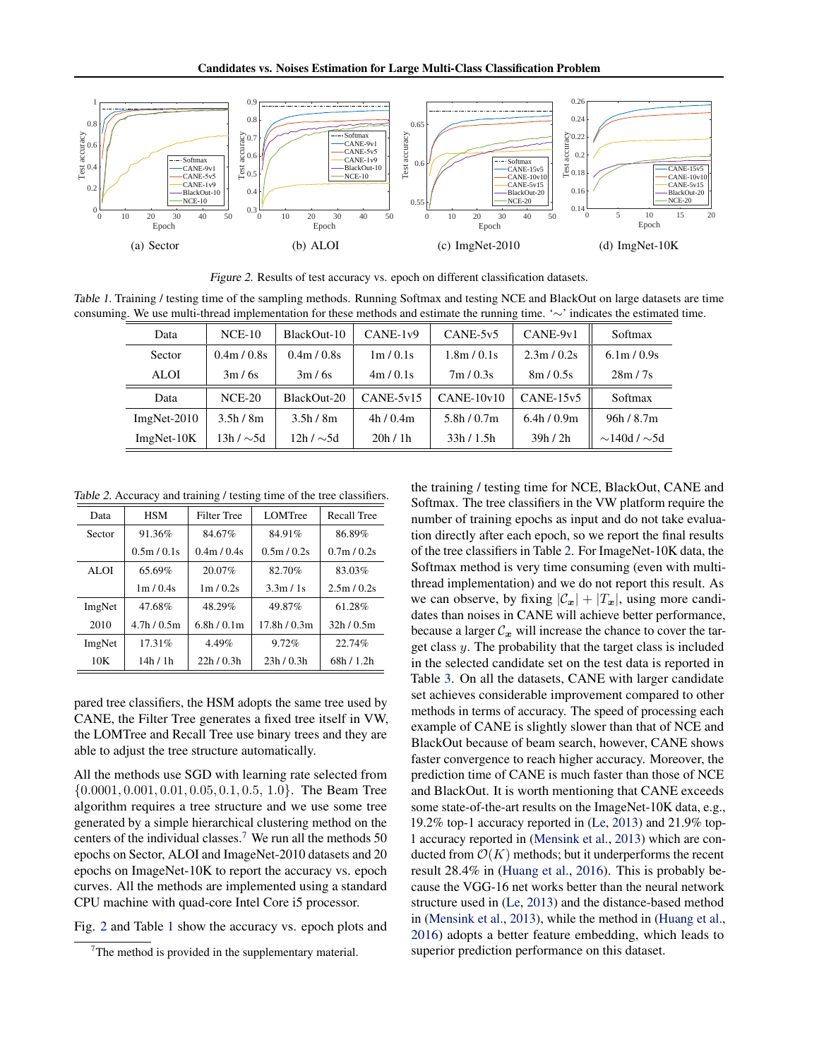

Figure 2. Results of test accuracy vs. epoch on different classification datasets.

Table 1. Training / testing time of the sampling methods. Running Softmax and testing NCE and BlackOut on large datasets are time consuming. We use multi-thread implementation for these methods and estimate the running time. '∼' indicates the estimated time.

| Data          | $NCE-10$        | BlackOut-10                         | $CANE-1v9$  | $CANE-5v5$   | CANE-9v1    | Softmax                 |
|---------------|-----------------|-------------------------------------|-------------|--------------|-------------|-------------------------|
| Sector        | 0.4m / 0.8s     | 0.4 <sup>m</sup> / 0.8 <sub>s</sub> | 1m/0.1s     | 1.8m / 0.1s  | 2.3m / 0.2s | 6.1m / 0.9s             |
| ALOI          | 3m/6s           | 3m/6s                               | 4m/0.1s     | 7m/0.3s      | 8m/0.5s     | 28m/7s                  |
| Data          | $NCE-20$        | BlackOut-20                         | $CANE-5v15$ | $CANE-10v10$ | $CANE-15v5$ | Softmax                 |
| $ImgNet-2010$ | 3.5h/8m         | 3.5h/8m                             | 4h/0.4m     | 5.8h/0.7m    | 6.4h/0.9m   | 96h/8.7m                |
| $ImgNet-10K$  | $13h / \sim 5d$ | $12h / \sim 5d$                     | 20h/1h      | 33h/1.5h     | 39h/2h      | $\sim$ 140d / $\sim$ 5d |

Table 2. Accuracy and training / testing time of the tree classifiers.

| Data   | <b>HSM</b> | <b>Filter Tree</b> | <b>LOMTree</b>        | Recall Tree |
|--------|------------|--------------------|-----------------------|-------------|
| Sector | 91.36%     | 84.67%             | 84.91%                | 86.89%      |
|        | 0.5m/0.1s  | 0.4m / 0.4s        | 0.5m/0.2s             | 0.7m / 0.2s |
| ALOI   | 65.69%     | 20.07%             | 82.70%                | 83.03%      |
|        | 1m/0.4s    | 1m/0.2s            | 3.3 <sub>m</sub> / 1s | 2.5m / 0.2s |
| ImgNet | 47.68%     | 48.29%             | 49.87%                | 61.28%      |
| 2010   | 4.7h/0.5m  | 6.8h/0.1m          | 17.8h/0.3m            | 32h/0.5m    |
| ImgNet | 17.31%     | 4.49%              | 9.72%                 | 22.74%      |
| 10K    | 14h / 1h   | 22h/0.3h           | 23h/0.3h              | 68h / 1.2h  |

pared tree classifiers, the HSM adopts the same tree used by CANE, the Filter Tree generates a fixed tree itself in VW, the LOMTree and Recall Tree use binary trees and they are able to adjust the tree structure automatically.

All the methods use SGD with learning rate selected from  $\{0.0001, 0.001, 0.01, 0.05, 0.1, 0.5, 1.0\}$ . The Beam Tree algorithm requires a tree structure and we use some tree generated by a simple hierarchical clustering method on the centers of the individual classes.<sup>7</sup> We run all the methods  $50$ epochs on Sector, ALOI and ImageNet-2010 datasets and 20 epochs on ImageNet-10K to report the accuracy vs. epoch curves. All the methods are implemented using a standard CPU machine with quad-core Intel Core i5 processor.

Fig. 2 and Table 1 show the accuracy vs. epoch plots and

the training / testing time for NCE, BlackOut, CANE and Softmax. The tree classifiers in the VW platform require the number of training epochs as input and do not take evaluation directly after each epoch, so we report the final results of the tree classifiers in Table 2. For ImageNet-10K data, the Softmax method is very time consuming (even with multithread implementation) and we do not report this result. As we can observe, by fixing  $|\mathcal{C}_x| + |T_x|$ , using more candidates than noises in CANE will achieve better performance, because a larger  $C_x$  will increase the chance to cover the target class y. The probability that the target class is included in the selected candidate set on the test data is reported in Table [3.](#page-7-0) On all the datasets, CANE with larger candidate set achieves considerable improvement compared to other methods in terms of accuracy. The speed of processing each example of CANE is slightly slower than that of NCE and BlackOut because of beam search, however, CANE shows faster convergence to reach higher accuracy. Moreover, the prediction time of CANE is much faster than those of NCE and BlackOut. It is worth mentioning that CANE exceeds some state-of-the-art results on the ImageNet-10K data, e.g., 19.2% top-1 accuracy reported in [\(Le,](#page-8-0) [2013\)](#page-8-0) and 21.9% top-1 accuracy reported in [\(Mensink et al.,](#page-8-0) [2013\)](#page-8-0) which are conducted from  $\mathcal{O}(K)$  methods; but it underperforms the recent result 28.4% in [\(Huang et al.,](#page-8-0) [2016\)](#page-8-0). This is probably because the VGG-16 net works better than the neural network structure used in [\(Le,](#page-8-0) [2013\)](#page-8-0) and the distance-based method in [\(Mensink et al.,](#page-8-0) [2013\)](#page-8-0), while the method in [\(Huang et al.,](#page-8-0) [2016\)](#page-8-0) adopts a better feature embedding, which leads to superior prediction performance on this dataset.

 $7$ The method is provided in the supplementary material.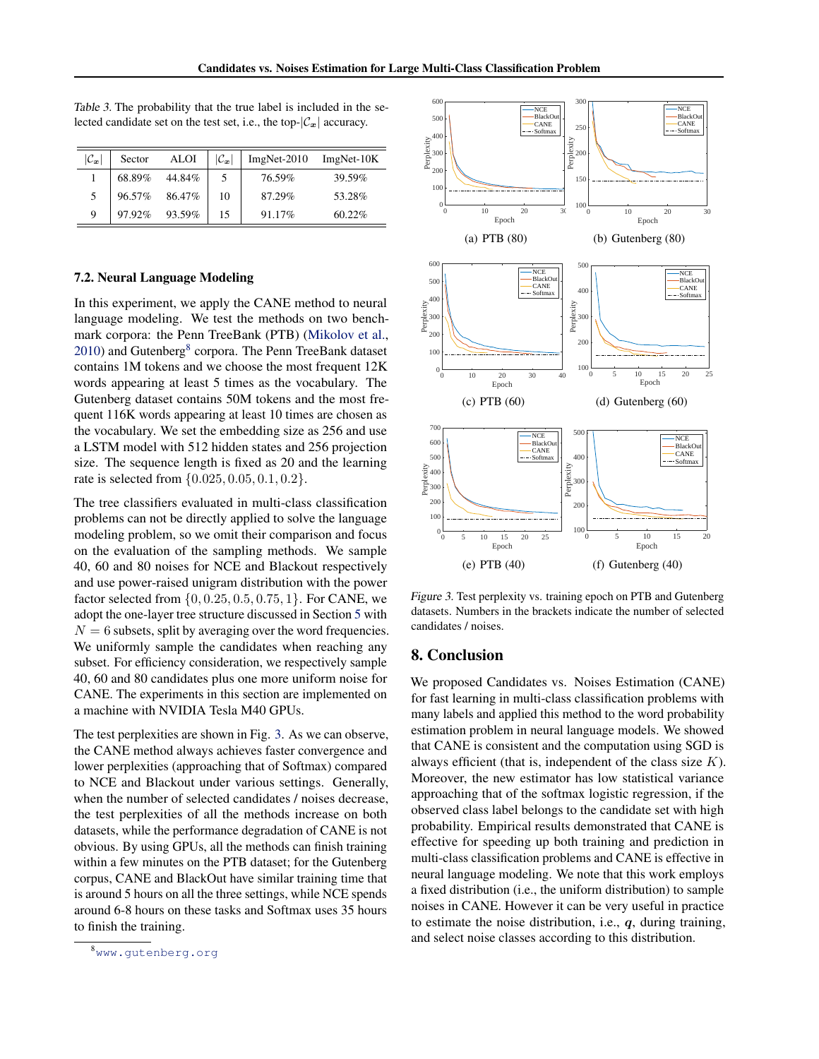| $ \mathcal{C}_x $ | Sector | <b>ALOI</b> | $ \mathcal{C}_x $ | $ImgNet-2010$ | $ImgNet-10K$ |
|-------------------|--------|-------------|-------------------|---------------|--------------|
|                   | 68.89% | 44.84%      |                   | 76.59%        | 39.59%       |
| 5                 | 96.57% | 86.47%      | 10                | 87.29%        | 53.28%       |
| 9                 | 97.92% | 93.59%      |                   | 91.17%        | $60.22\%$    |

<span id="page-7-0"></span>Table 3. The probability that the true label is included in the selected candidate set on the test set, i.e., the top- $|\mathcal{C}_x|$  accuracy.

#### 7.2. Neural Language Modeling

In this experiment, we apply the CANE method to neural language modeling. We test the methods on two benchmark corpora: the Penn TreeBank (PTB) [\(Mikolov et al.,](#page-8-0) [2010\)](#page-8-0) and Gutenberg<sup>8</sup> corpora. The Penn TreeBank dataset contains 1M tokens and we choose the most frequent 12K words appearing at least 5 times as the vocabulary. The Gutenberg dataset contains 50M tokens and the most frequent 116K words appearing at least 10 times are chosen as the vocabulary. We set the embedding size as 256 and use a LSTM model with 512 hidden states and 256 projection size. The sequence length is fixed as 20 and the learning rate is selected from {0.025, 0.05, 0.1, 0.2}.

The tree classifiers evaluated in multi-class classification problems can not be directly applied to solve the language modeling problem, so we omit their comparison and focus on the evaluation of the sampling methods. We sample 40, 60 and 80 noises for NCE and Blackout respectively and use power-raised unigram distribution with the power factor selected from  $\{0, 0.25, 0.5, 0.75, 1\}$ . For CANE, we adopt the one-layer tree structure discussed in Section [5](#page-4-0) with  $N = 6$  subsets, split by averaging over the word frequencies. We uniformly sample the candidates when reaching any subset. For efficiency consideration, we respectively sample 40, 60 and 80 candidates plus one more uniform noise for CANE. The experiments in this section are implemented on a machine with NVIDIA Tesla M40 GPUs.

The test perplexities are shown in Fig. 3. As we can observe, the CANE method always achieves faster convergence and lower perplexities (approaching that of Softmax) compared to NCE and Blackout under various settings. Generally, when the number of selected candidates / noises decrease, the test perplexities of all the methods increase on both datasets, while the performance degradation of CANE is not obvious. By using GPUs, all the methods can finish training within a few minutes on the PTB dataset; for the Gutenberg corpus, CANE and BlackOut have similar training time that is around 5 hours on all the three settings, while NCE spends around 6-8 hours on these tasks and Softmax uses 35 hours to finish the training.



Figure 3. Test perplexity vs. training epoch on PTB and Gutenberg datasets. Numbers in the brackets indicate the number of selected candidates / noises.

### 8. Conclusion

We proposed Candidates vs. Noises Estimation (CANE) for fast learning in multi-class classification problems with many labels and applied this method to the word probability estimation problem in neural language models. We showed that CANE is consistent and the computation using SGD is always efficient (that is, independent of the class size  $K$ ). Moreover, the new estimator has low statistical variance approaching that of the softmax logistic regression, if the observed class label belongs to the candidate set with high probability. Empirical results demonstrated that CANE is effective for speeding up both training and prediction in multi-class classification problems and CANE is effective in neural language modeling. We note that this work employs a fixed distribution (i.e., the uniform distribution) to sample noises in CANE. However it can be very useful in practice to estimate the noise distribution, i.e.,  $q$ , during training, and select noise classes according to this distribution.

<sup>8</sup><www.gutenberg.org>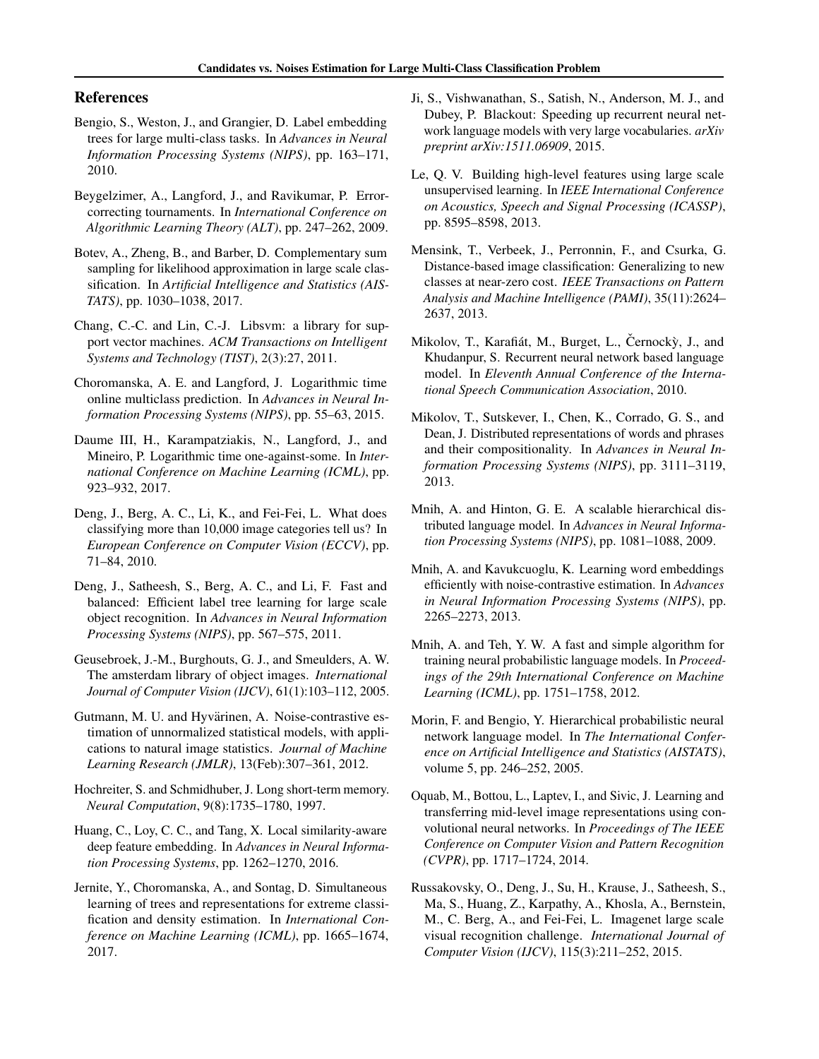### <span id="page-8-0"></span>References

- Bengio, S., Weston, J., and Grangier, D. Label embedding trees for large multi-class tasks. In *Advances in Neural Information Processing Systems (NIPS)*, pp. 163–171, 2010.
- Beygelzimer, A., Langford, J., and Ravikumar, P. Errorcorrecting tournaments. In *International Conference on Algorithmic Learning Theory (ALT)*, pp. 247–262, 2009.
- Botev, A., Zheng, B., and Barber, D. Complementary sum sampling for likelihood approximation in large scale classification. In *Artificial Intelligence and Statistics (AIS-TATS)*, pp. 1030–1038, 2017.
- Chang, C.-C. and Lin, C.-J. Libsvm: a library for support vector machines. *ACM Transactions on Intelligent Systems and Technology (TIST)*, 2(3):27, 2011.
- Choromanska, A. E. and Langford, J. Logarithmic time online multiclass prediction. In *Advances in Neural Information Processing Systems (NIPS)*, pp. 55–63, 2015.
- Daume III, H., Karampatziakis, N., Langford, J., and Mineiro, P. Logarithmic time one-against-some. In *International Conference on Machine Learning (ICML)*, pp. 923–932, 2017.
- Deng, J., Berg, A. C., Li, K., and Fei-Fei, L. What does classifying more than 10,000 image categories tell us? In *European Conference on Computer Vision (ECCV)*, pp. 71–84, 2010.
- Deng, J., Satheesh, S., Berg, A. C., and Li, F. Fast and balanced: Efficient label tree learning for large scale object recognition. In *Advances in Neural Information Processing Systems (NIPS)*, pp. 567–575, 2011.
- Geusebroek, J.-M., Burghouts, G. J., and Smeulders, A. W. The amsterdam library of object images. *International Journal of Computer Vision (IJCV)*, 61(1):103–112, 2005.
- Gutmann, M. U. and Hyvärinen, A. Noise-contrastive estimation of unnormalized statistical models, with applications to natural image statistics. *Journal of Machine Learning Research (JMLR)*, 13(Feb):307–361, 2012.
- Hochreiter, S. and Schmidhuber, J. Long short-term memory. *Neural Computation*, 9(8):1735–1780, 1997.
- Huang, C., Loy, C. C., and Tang, X. Local similarity-aware deep feature embedding. In *Advances in Neural Information Processing Systems*, pp. 1262–1270, 2016.
- Jernite, Y., Choromanska, A., and Sontag, D. Simultaneous learning of trees and representations for extreme classification and density estimation. In *International Conference on Machine Learning (ICML)*, pp. 1665–1674, 2017.
- Ji, S., Vishwanathan, S., Satish, N., Anderson, M. J., and Dubey, P. Blackout: Speeding up recurrent neural network language models with very large vocabularies. *arXiv preprint arXiv:1511.06909*, 2015.
- Le, Q. V. Building high-level features using large scale unsupervised learning. In *IEEE International Conference on Acoustics, Speech and Signal Processing (ICASSP)*, pp. 8595–8598, 2013.
- Mensink, T., Verbeek, J., Perronnin, F., and Csurka, G. Distance-based image classification: Generalizing to new classes at near-zero cost. *IEEE Transactions on Pattern Analysis and Machine Intelligence (PAMI)*, 35(11):2624– 2637, 2013.
- Mikolov, T., Karafiát, M., Burget, L., Černockỳ, J., and Khudanpur, S. Recurrent neural network based language model. In *Eleventh Annual Conference of the International Speech Communication Association*, 2010.
- Mikolov, T., Sutskever, I., Chen, K., Corrado, G. S., and Dean, J. Distributed representations of words and phrases and their compositionality. In *Advances in Neural Information Processing Systems (NIPS)*, pp. 3111–3119, 2013.
- Mnih, A. and Hinton, G. E. A scalable hierarchical distributed language model. In *Advances in Neural Information Processing Systems (NIPS)*, pp. 1081–1088, 2009.
- Mnih, A. and Kavukcuoglu, K. Learning word embeddings efficiently with noise-contrastive estimation. In *Advances in Neural Information Processing Systems (NIPS)*, pp. 2265–2273, 2013.
- Mnih, A. and Teh, Y. W. A fast and simple algorithm for training neural probabilistic language models. In *Proceedings of the 29th International Conference on Machine Learning (ICML)*, pp. 1751–1758, 2012.
- Morin, F. and Bengio, Y. Hierarchical probabilistic neural network language model. In *The International Conference on Artificial Intelligence and Statistics (AISTATS)*, volume 5, pp. 246–252, 2005.
- Oquab, M., Bottou, L., Laptev, I., and Sivic, J. Learning and transferring mid-level image representations using convolutional neural networks. In *Proceedings of The IEEE Conference on Computer Vision and Pattern Recognition (CVPR)*, pp. 1717–1724, 2014.
- Russakovsky, O., Deng, J., Su, H., Krause, J., Satheesh, S., Ma, S., Huang, Z., Karpathy, A., Khosla, A., Bernstein, M., C. Berg, A., and Fei-Fei, L. Imagenet large scale visual recognition challenge. *International Journal of Computer Vision (IJCV)*, 115(3):211–252, 2015.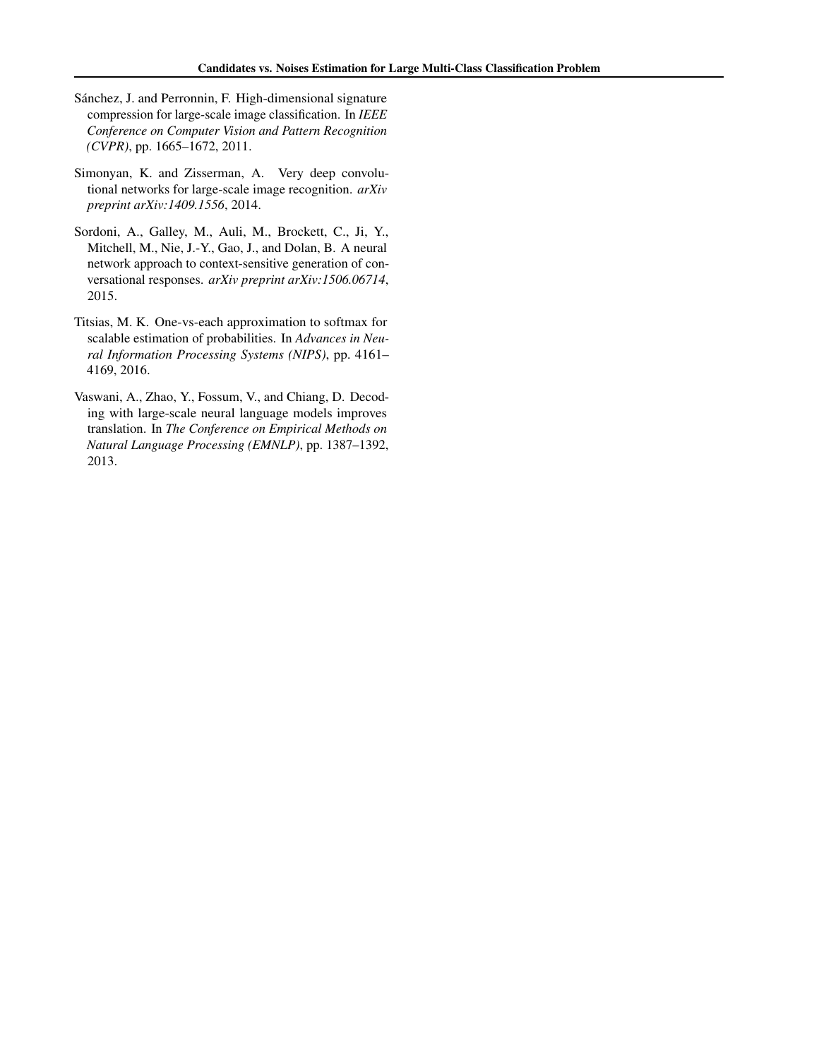- <span id="page-9-0"></span>Sánchez, J. and Perronnin, F. High-dimensional signature compression for large-scale image classification. In *IEEE Conference on Computer Vision and Pattern Recognition (CVPR)*, pp. 1665–1672, 2011.
- Simonyan, K. and Zisserman, A. Very deep convolutional networks for large-scale image recognition. *arXiv preprint arXiv:1409.1556*, 2014.
- Sordoni, A., Galley, M., Auli, M., Brockett, C., Ji, Y., Mitchell, M., Nie, J.-Y., Gao, J., and Dolan, B. A neural network approach to context-sensitive generation of conversational responses. *arXiv preprint arXiv:1506.06714*, 2015.
- Titsias, M. K. One-vs-each approximation to softmax for scalable estimation of probabilities. In *Advances in Neural Information Processing Systems (NIPS)*, pp. 4161– 4169, 2016.
- Vaswani, A., Zhao, Y., Fossum, V., and Chiang, D. Decoding with large-scale neural language models improves translation. In *The Conference on Empirical Methods on Natural Language Processing (EMNLP)*, pp. 1387–1392, 2013.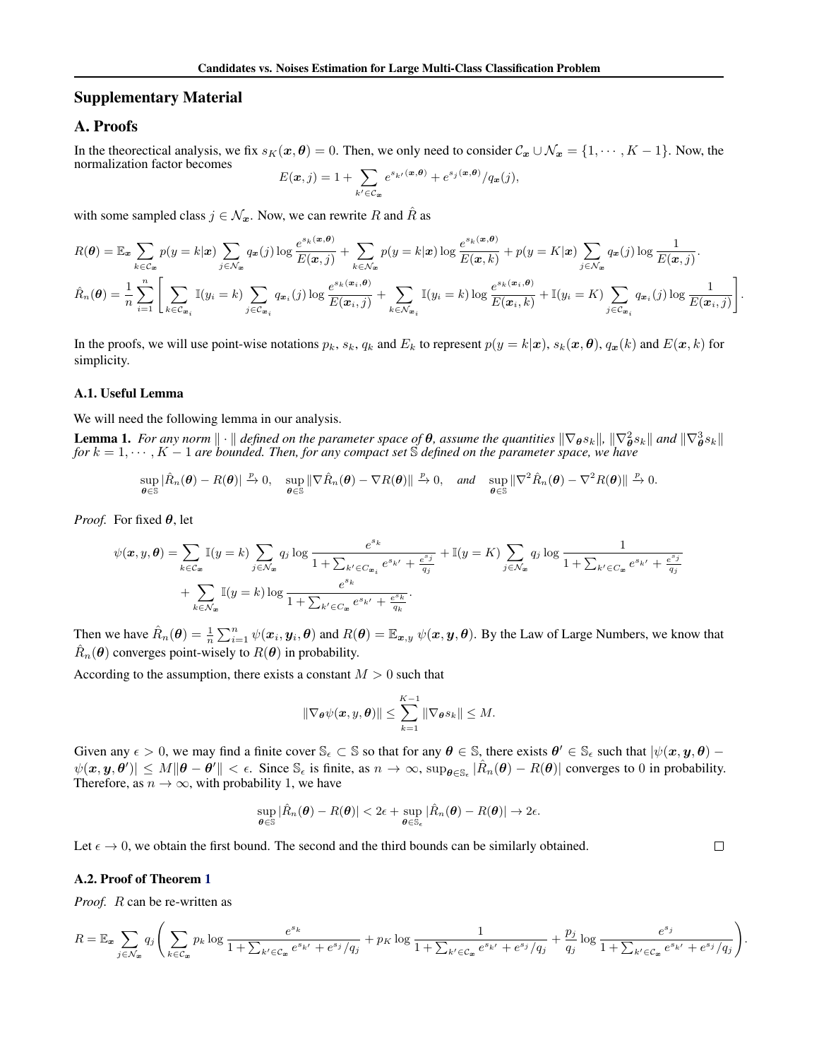### <span id="page-10-0"></span>Supplementary Material

# A. Proofs

In the theorectical analysis, we fix  $s_K(x, \theta) = 0$ . Then, we only need to consider  $C_x \cup \mathcal{N}_x = \{1, \dots, K - 1\}$ . Now, the normalization factor becomes

$$
E(\boldsymbol{x},j) = 1 + \sum_{k' \in \mathcal{C}_{\boldsymbol{x}}} e^{s_{k'}(\boldsymbol{x},\boldsymbol{\theta})} + e^{s_j(\boldsymbol{x},\boldsymbol{\theta})}/q_{\boldsymbol{x}}(j),
$$

with some sampled class  $j \in \mathcal{N}_x$ . Now, we can rewrite R and  $\hat{R}$  as

$$
R(\boldsymbol{\theta}) = \mathbb{E}_{\boldsymbol{x}} \sum_{k \in \mathcal{C}_{\boldsymbol{x}}} p(y = k | \boldsymbol{x}) \sum_{j \in \mathcal{N}_{\boldsymbol{x}}} q_{\boldsymbol{x}}(j) \log \frac{e^{s_k(\boldsymbol{x}, \boldsymbol{\theta})}}{E(\boldsymbol{x}, j)} + \sum_{k \in \mathcal{N}_{\boldsymbol{x}}} p(y = k | \boldsymbol{x}) \log \frac{e^{s_k(\boldsymbol{x}, \boldsymbol{\theta})}}{E(\boldsymbol{x}, k)} + p(y = K | \boldsymbol{x}) \sum_{j \in \mathcal{N}_{\boldsymbol{x}}} q_{\boldsymbol{x}}(j) \log \frac{1}{E(\boldsymbol{x}, j)}.
$$
  

$$
\hat{R}_n(\boldsymbol{\theta}) = \frac{1}{n} \sum_{i=1}^n \left[ \sum_{k \in \mathcal{C}_{\boldsymbol{x}_i}} \mathbb{I}(y_i = k) \sum_{j \in \mathcal{C}_{\boldsymbol{x}_i}} q_{\boldsymbol{x}_i}(j) \log \frac{e^{s_k(\boldsymbol{x}_i, \boldsymbol{\theta})}}{E(\boldsymbol{x}_i, j)} + \sum_{k \in \mathcal{N}_{\boldsymbol{x}_i}} \mathbb{I}(y_i = k) \log \frac{e^{s_k(\boldsymbol{x}_i, \boldsymbol{\theta})}}{E(\boldsymbol{x}_i, k)} + \mathbb{I}(y_i = K) \sum_{j \in \mathcal{C}_{\boldsymbol{x}_i}} q_{\boldsymbol{x}_i}(j) \log \frac{1}{E(\boldsymbol{x}_i, j)} \right]
$$

.

 $\Box$ 

In the proofs, we will use point-wise notations  $p_k$ ,  $s_k$ ,  $q_k$  and  $E_k$  to represent  $p(y = k|x)$ ,  $s_k(x, \theta)$ ,  $q_x(k)$  and  $E(x, k)$  for simplicity.

#### A.1. Useful Lemma

We will need the following lemma in our analysis.

**Lemma 1.** For any norm  $\|\cdot\|$  defined on the parameter space of  $\theta$ , assume the quantities  $\|\nabla_{\theta} s_k\|$ ,  $\|\nabla_{\theta}^2 s_k\|$  and  $\|\nabla_{\theta}^3 s_k\|$ <br>for  $k = 1, \dots, K - 1$  are bounded. Then, for any compact set S defined on

$$
\sup_{\theta \in \mathbb{S}} |\hat{R}_n(\theta) - R(\theta)| \xrightarrow{p} 0, \quad \sup_{\theta \in \mathbb{S}} \|\nabla \hat{R}_n(\theta) - \nabla R(\theta)\| \xrightarrow{p} 0, \quad \text{and} \quad \sup_{\theta \in \mathbb{S}} \|\nabla^2 \hat{R}_n(\theta) - \nabla^2 R(\theta)\| \xrightarrow{p} 0.
$$

*Proof.* For fixed  $\theta$ , let

$$
\psi(\mathbf{x}, y, \theta) = \sum_{k \in \mathcal{C}_{\mathbf{x}}} \mathbb{I}(y = k) \sum_{j \in \mathcal{N}_{\mathbf{x}}} q_j \log \frac{e^{s_k}}{1 + \sum_{k' \in \mathcal{C}_{\mathbf{x}_i}} e^{s_{k'}} + \frac{e^{s_j}}{q_j}} + \mathbb{I}(y = K) \sum_{j \in \mathcal{N}_{\mathbf{x}}} q_j \log \frac{1}{1 + \sum_{k' \in \mathcal{C}_{\mathbf{x}}} e^{s_{k'}} + \frac{e^{s_j}}{q_j}} + \sum_{k \in \mathcal{N}_{\mathbf{x}}} \mathbb{I}(y = k) \log \frac{e^{s_k}}{1 + \sum_{k' \in \mathcal{C}_{\mathbf{x}}} e^{s_{k'}} + \frac{e^{s_k}}{q_k}}.
$$

Then we have  $\hat{R}_n(\theta) = \frac{1}{n} \sum_{i=1}^n \psi(x_i, y_i, \theta)$  and  $R(\theta) = \mathbb{E}_{x, y} \psi(x, y, \theta)$ . By the Law of Large Numbers, we know that  $\hat{R}_n(\theta)$  converges point-wisely to  $R(\theta)$  in probability.

According to the assumption, there exists a constant  $M > 0$  such that

$$
\|\nabla_{\boldsymbol{\theta}}\psi(\boldsymbol{x},\boldsymbol{y},\boldsymbol{\theta})\| \leq \sum_{k=1}^{K-1} \|\nabla_{\boldsymbol{\theta}}s_k\| \leq M.
$$

Given any  $\epsilon > 0$ , we may find a finite cover  $\mathbb{S}_{\epsilon} \subset \mathbb{S}$  so that for any  $\theta \in \mathbb{S}$ , there exists  $\theta' \in \mathbb{S}_{\epsilon}$  such that  $|\psi(x, y, \theta) - \psi(x, y, \theta)|$  $|\psi(x, y, \theta')| \leq M ||\theta - \theta'|| < \epsilon$ . Since  $\mathbb{S}_{\epsilon}$  is finite, as  $n \to \infty$ ,  $\sup_{\theta \in \mathbb{S}_{\epsilon}} |\hat{R}_n(\theta) - R(\theta)|$  converges to 0 in probability. Therefore, as  $n \to \infty$ , with probability 1, we have

$$
\sup_{\boldsymbol{\theta}\in\mathbb{S}}|\hat{R}_n(\boldsymbol{\theta})-R(\boldsymbol{\theta})|<2\epsilon+\sup_{\boldsymbol{\theta}\in\mathbb{S}_{\epsilon}}|\hat{R}_n(\boldsymbol{\theta})-R(\boldsymbol{\theta})|\rightarrow 2\epsilon.
$$

Let  $\epsilon \to 0$ , we obtain the first bound. The second and the third bounds can be similarly obtained.

#### A.2. Proof of Theorem [1](#page-2-0)

*Proof.* R can be re-written as

$$
R = \mathbb{E}_{\mathbf{x}} \sum_{j \in \mathcal{N}_{\mathbf{x}}} q_j \left( \sum_{k \in \mathcal{C}_{\mathbf{x}}} p_k \log \frac{e^{s_k}}{1 + \sum_{k' \in \mathcal{C}_{\mathbf{x}}} e^{s_{k'}} + e^{s_j}/q_j} + p_K \log \frac{1}{1 + \sum_{k' \in \mathcal{C}_{\mathbf{x}}} e^{s_{k'}} + e^{s_j}/q_j} + \frac{p_j}{q_j} \log \frac{e^{s_j}}{1 + \sum_{k' \in \mathcal{C}_{\mathbf{x}}} e^{s_{k'}} + e^{s_j}/q_j} \right).
$$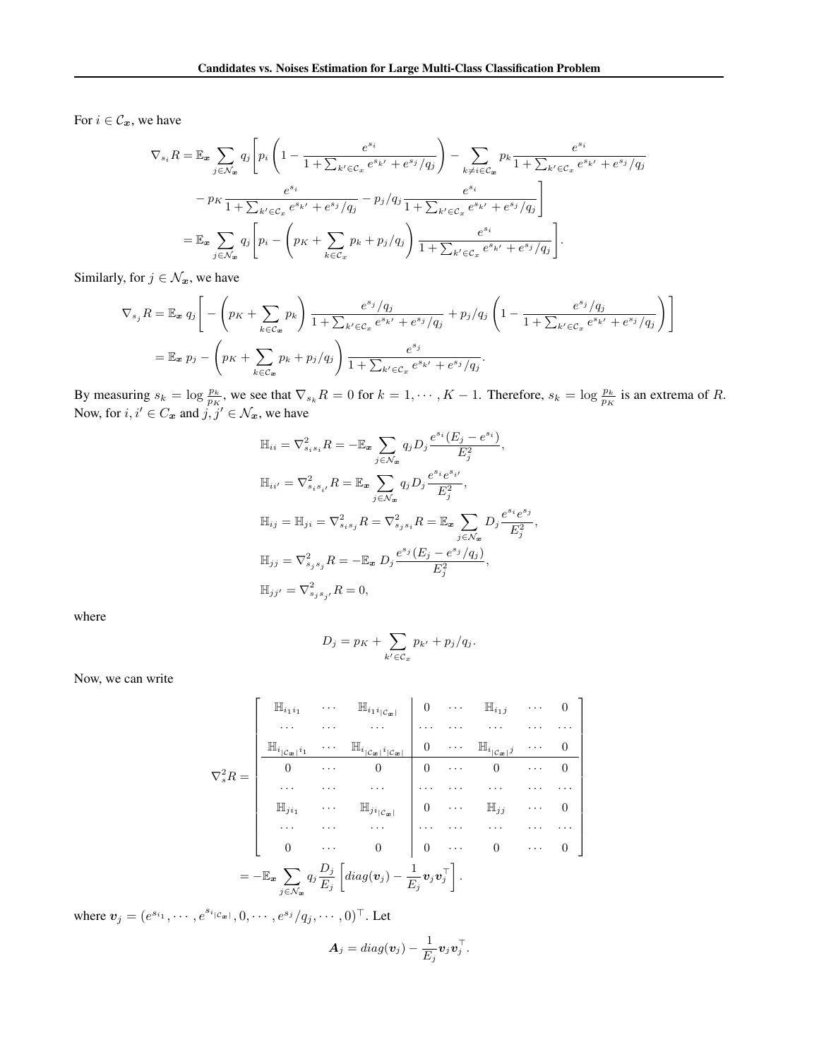For  $i \in \mathcal{C}_x$ , we have

$$
\nabla_{s_i} R = \mathbb{E}_{\mathbf{x}} \sum_{j \in \mathcal{N}_{\mathbf{x}}} q_j \left[ p_i \left( 1 - \frac{e^{s_i}}{1 + \sum_{k' \in \mathcal{C}_{\mathbf{x}}} e^{s_{k'}} + e^{s_j}/q_j} \right) - \sum_{k \neq i \in \mathcal{C}_{\mathbf{x}}} p_k \frac{e^{s_i}}{1 + \sum_{k' \in \mathcal{C}_{\mathbf{x}}} e^{s_{k'}} + e^{s_j}/q_j} - p_k \frac{e^{s_i}}{1 + \sum_{k' \in \mathcal{C}_{\mathbf{x}}} e^{s_{k'}} + e^{s_j}/q_j} - p_j/q_j \frac{e^{s_i}}{1 + \sum_{k' \in \mathcal{C}_{\mathbf{x}}} e^{s_{k'}} + e^{s_j}/q_j} \right]
$$
  
= 
$$
\mathbb{E}_{\mathbf{x}} \sum_{j \in \mathcal{N}_{\mathbf{x}}} q_j \left[ p_i - \left( p_k + \sum_{k \in \mathcal{C}_{\mathbf{x}}} p_k + p_j/q_j \right) \frac{e^{s_i}}{1 + \sum_{k' \in \mathcal{C}_{\mathbf{x}}} e^{s_{k'}} + e^{s_j}/q_j} \right].
$$

Similarly, for  $j \in \mathcal{N}_x$ , we have

$$
\nabla_{s_j} R = \mathbb{E}_{\mathbf{x}} q_j \left[ - \left( p_K + \sum_{k \in C_{\mathbf{x}}} p_k \right) \frac{e^{s_j} / q_j}{1 + \sum_{k' \in C_{\mathbf{x}}} e^{s_{k'}} + e^{s_j} / q_j} + p_j / q_j \left( 1 - \frac{e^{s_j} / q_j}{1 + \sum_{k' \in C_{\mathbf{x}}} e^{s_{k'}} + e^{s_j} / q_j} \right) \right]
$$
  
=  $\mathbb{E}_{\mathbf{x}} p_j - \left( p_K + \sum_{k \in C_{\mathbf{x}}} p_k + p_j / q_j \right) \frac{e^{s_j}}{1 + \sum_{k' \in C_{\mathbf{x}}} e^{s_{k'}} + e^{s_j} / q_j}.$ 

By measuring  $s_k = \log \frac{p_k}{p_K}$ , we see that  $\nabla_{s_k} R = 0$  for  $k = 1, \dots, K - 1$ . Therefore,  $s_k = \log \frac{p_k}{p_K}$  is an extrema of R. Now, for  $i, i' \in C_x$  and  $j, j' \in \mathcal{N}_x$ , we have

$$
\mathbb{H}_{ii} = \nabla_{s_i s_i}^2 R = -\mathbb{E}_{\mathbf{x}} \sum_{j \in \mathcal{N}_{\mathbf{x}}} q_j D_j \frac{e^{s_i} (E_j - e^{s_i})}{E_j^2},
$$
\n
$$
\mathbb{H}_{ii'} = \nabla_{s_i s_{i'}}^2 R = \mathbb{E}_{\mathbf{x}} \sum_{j \in \mathcal{N}_{\mathbf{x}}} q_j D_j \frac{e^{s_i} e^{s_{i'}}}{E_j^2},
$$
\n
$$
\mathbb{H}_{ij} = \mathbb{H}_{ji} = \nabla_{s_i s_j}^2 R = \nabla_{s_j s_i}^2 R = \mathbb{E}_{\mathbf{x}} \sum_{j \in \mathcal{N}_{\mathbf{x}}} D_j \frac{e^{s_i} e^{s_j}}{E_j^2},
$$
\n
$$
\mathbb{H}_{jj} = \nabla_{s_j s_j}^2 R = -\mathbb{E}_{\mathbf{x}} D_j \frac{e^{s_j} (E_j - e^{s_j}/q_j)}{E_j^2},
$$
\n
$$
\mathbb{H}_{jj'} = \nabla_{s_j s_{j'}}^2 R = 0,
$$

where

$$
D_j = p_K + \sum_{k' \in \mathcal{C}_x} p_{k'} + p_j/q_j.
$$

Now, we can write

$$
\nabla_s^2 R = \begin{bmatrix}\n\mathbb{H}_{i_1 i_1} & \cdots & \mathbb{H}_{i_1 i_{|\mathcal{C}_x|}} & 0 & \cdots & \mathbb{H}_{i_1 j} & \cdots & 0 \\
\cdots & \cdots & \cdots & \cdots & \cdots & \cdots & \cdots \\
\frac{\mathbb{H}_{i_{|\mathcal{C}_x|} i_1} & \cdots & \mathbb{H}_{i_{|\mathcal{C}_x|} i_{|\mathcal{C}_x|}} & 0 & \cdots & \mathbb{H}_{i_{|\mathcal{C}_x|} j} & \cdots & 0 \\
0 & \cdots & 0 & 0 & \cdots & 0 & \cdots & 0 \\
\vdots & \vdots & \ddots & \vdots & \ddots & \vdots & \ddots & \vdots \\
\mathbb{H}_{j i_1} & \cdots & \mathbb{H}_{j i_{|\mathcal{C}_x|}} & 0 & \cdots & \mathbb{H}_{j j} & \cdots & 0 \\
\vdots & \vdots & \ddots & \vdots & \ddots & \vdots & \ddots & \vdots \\
0 & \cdots & 0 & 0 & \cdots & 0 & \cdots & 0\n\end{bmatrix}
$$
\n
$$
= - \mathbb{E}_x \sum_{j \in \mathcal{N}_x} q_j \frac{D_j}{E_j} \left[ diag(\mathbf{v}_j) - \frac{1}{E_j} \mathbf{v}_j \mathbf{v}_j^\top \right].
$$

where  $v_j = (e^{s_{i_1}}, \dots, e^{s_{i_{|\mathcal{C}_{\bm{x}}|}}}, 0, \dots, e^{s_j}/q_j, \dots, 0)^{\top}$ . Let

$$
\mathbf{A}_j = diag(\mathbf{v}_j) - \frac{1}{E_j}\mathbf{v}_j\mathbf{v}_j^{\top}.
$$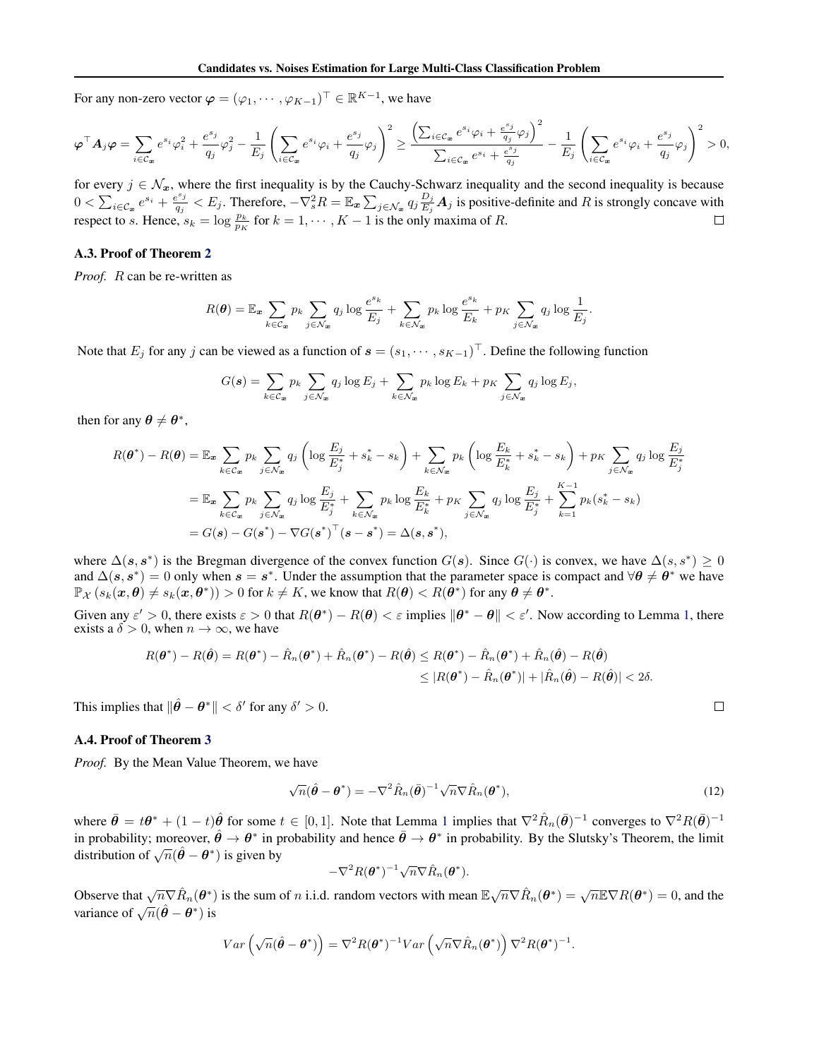For any non-zero vector  $\boldsymbol{\varphi} = (\varphi_1, \dots, \varphi_{K-1})^{\top} \in \mathbb{R}^{K-1}$ , we have

$$
\pmb{\varphi}^\top \pmb{A}_j \pmb{\varphi} = \sum_{i \in \mathcal{C}_\pmb{x}} e^{s_i} \varphi_i^2 + \frac{e^{s_j}}{q_j} \varphi_j^2 - \frac{1}{E_j} \left( \sum_{i \in \mathcal{C}_\pmb{x}} e^{s_i} \varphi_i + \frac{e^{s_j}}{q_j} \varphi_j \right)^2 \ge \frac{\left( \sum_{i \in \mathcal{C}_\pmb{x}} e^{s_i} \varphi_i + \frac{e^{s_j}}{q_j} \varphi_j \right)^2}{\sum_{i \in \mathcal{C}_\pmb{x}} e^{s_i} + \frac{e^{s_j}}{q_j}} - \frac{1}{E_j} \left( \sum_{i \in \mathcal{C}_\pmb{x}} e^{s_i} \varphi_i + \frac{e^{s_j}}{q_j} \varphi_j \right)^2 > 0,
$$

for every  $j \in \mathcal{N}_x$ , where the first inequality is by the Cauchy-Schwarz inequality and the second inequality is because  $0 < \sum_{i \in \mathcal{C}_x} e^{s_i} + \frac{e^{s_j}}{q_i}$  $\frac{q_j^{s_j}}{q_j} < E_j.$  Therefore,  $-\nabla_s^2 R = \mathbb{E}_{\bm{x}} \sum_{j \in \mathcal{N}_{\bm{x}}} q_j \frac{D_j}{E_j}$  $\frac{D_j}{E_j}A_j$  is positive-definite and R is strongly concave with respect to s. Hence,  $s_k = \log \frac{p_k}{p_K}$  for  $k = 1, \dots, K - 1$  is the only maxima of R.

#### A.3. Proof of Theorem [2](#page-2-0)

*Proof.* R can be re-written as

$$
R(\boldsymbol{\theta}) = \mathbb{E}_{\boldsymbol{x}} \sum_{k \in \mathcal{C}_{\boldsymbol{x}}} p_k \sum_{j \in \mathcal{N}_{\boldsymbol{x}}} q_j \log \frac{e^{s_k}}{E_j} + \sum_{k \in \mathcal{N}_{\boldsymbol{x}}} p_k \log \frac{e^{s_k}}{E_k} + p_K \sum_{j \in \mathcal{N}_{\boldsymbol{x}}} q_j \log \frac{1}{E_j}.
$$

Note that  $E_j$  for any j can be viewed as a function of  $\mathbf{s} = (s_1, \dots, s_{K-1})^\top$ . Define the following function

$$
G(\boldsymbol{s}) = \sum_{k \in \mathcal{C}_{\boldsymbol{x}}} p_k \sum_{j \in \mathcal{N}_{\boldsymbol{x}}} q_j \log E_j + \sum_{k \in \mathcal{N}_{\boldsymbol{x}}} p_k \log E_k + p_K \sum_{j \in \mathcal{N}_{\boldsymbol{x}}} q_j \log E_j,
$$

then for any  $\theta \neq \theta^*$ ,

$$
R(\theta^*) - R(\theta) = \mathbb{E}_{\mathbf{x}} \sum_{k \in \mathcal{C}_{\mathbf{x}}} p_k \sum_{j \in \mathcal{N}_{\mathbf{x}}} q_j \left( \log \frac{E_j}{E_j^*} + s_k^* - s_k \right) + \sum_{k \in \mathcal{N}_{\mathbf{x}}} p_k \left( \log \frac{E_k}{E_k^*} + s_k^* - s_k \right) + p_K \sum_{j \in \mathcal{N}_{\mathbf{x}}} q_j \log \frac{E_j}{E_j^*} = \mathbb{E}_{\mathbf{x}} \sum_{k \in \mathcal{C}_{\mathbf{x}}} p_k \sum_{j \in \mathcal{N}_{\mathbf{x}}} q_j \log \frac{E_j}{E_j^*} + \sum_{k \in \mathcal{N}_{\mathbf{x}}} p_k \log \frac{E_k}{E_k^*} + p_K \sum_{j \in \mathcal{N}_{\mathbf{x}}} q_j \log \frac{E_j}{E_j^*} + \sum_{k=1}^{K-1} p_k (s_k^* - s_k) = G(\mathbf{s}) - G(\mathbf{s}^*) - \nabla G(\mathbf{s}^*)^\top (\mathbf{s} - \mathbf{s}^*) = \Delta(\mathbf{s}, \mathbf{s}^*),
$$

where  $\Delta(s, s^*)$  is the Bregman divergence of the convex function  $G(s)$ . Since  $G(\cdot)$  is convex, we have  $\Delta(s, s^*) \geq 0$ and  $\Delta(s, s^*) = 0$  only when  $s = s^*$ . Under the assumption that the parameter space is compact and  $\forall \theta \neq \theta^*$  we have  $\mathbb{P}_{\mathcal{X}}(s_k(\bm{x}, \bm{\theta}) \neq s_k(\bm{x}, \bm{\theta}^*)) > 0$  for  $k \neq K$ , we know that  $R(\bm{\theta}) < R(\bar{\bm{\theta}}^*)$  for any  $\bar{\bm{\theta}} \neq \bm{\theta}^*$ .

Given any  $\varepsilon' > 0$ , there exists  $\varepsilon > 0$  that  $R(\theta^*) - R(\theta) < \varepsilon$  implies  $\|\theta^* - \theta\| < \varepsilon'$ . Now according to Lemma [1,](#page-10-0) there exists a  $\delta > 0$ , when  $n \to \infty$ , we have

$$
R(\boldsymbol{\theta}^*) - R(\hat{\boldsymbol{\theta}}) = R(\boldsymbol{\theta}^*) - \hat{R}_n(\boldsymbol{\theta}^*) + \hat{R}_n(\boldsymbol{\theta}^*) - R(\hat{\boldsymbol{\theta}}) \le R(\boldsymbol{\theta}^*) - \hat{R}_n(\boldsymbol{\theta}^*) + \hat{R}_n(\hat{\boldsymbol{\theta}}) - R(\hat{\boldsymbol{\theta}})
$$
  

$$
\le |R(\boldsymbol{\theta}^*) - \hat{R}_n(\boldsymbol{\theta}^*)| + |\hat{R}_n(\hat{\boldsymbol{\theta}}) - R(\hat{\boldsymbol{\theta}})| < 2\delta.
$$

This implies that  $\|\hat{\theta} - \theta^*\| < \delta'$  for any  $\delta' > 0$ .

#### A.4. Proof of Theorem [3](#page-2-0)

*Proof.* By the Mean Value Theorem, we have

$$
\sqrt{n}(\hat{\boldsymbol{\theta}} - \boldsymbol{\theta}^*) = -\nabla^2 \hat{R}_n(\bar{\boldsymbol{\theta}})^{-1} \sqrt{n} \nabla \hat{R}_n(\boldsymbol{\theta}^*),
$$
\n(12)

 $\Box$ 

where  $\bar{\theta} = t\theta^* + (1-t)\hat{\theta}$  $\bar{\theta} = t\theta^* + (1-t)\hat{\theta}$  $\bar{\theta} = t\theta^* + (1-t)\hat{\theta}$  for some  $t \in [0,1]$ . Note that Lemma 1 implies that  $\nabla^2 \hat{R}_n(\bar{\theta})^{-1}$  converges to  $\nabla^2 R(\bar{\theta})^{-1}$ in probability; moreover,  $\hat{\theta} \to \theta^*$  in probability and hence  $\bar{\theta} \to \theta^*$  in probability. By the Slutsky's Theorem, the limit distribution of  $\sqrt{n}(\hat{\theta} - \theta^*)$  is given by

$$
-\nabla^2 R(\boldsymbol{\theta}^*)^{-1} \sqrt{n} \nabla \hat{R}_n(\boldsymbol{\theta}^*).
$$

Observe that  $\sqrt{n} \nabla \hat{R}_n(\theta^*)$  is the sum of n i.i.d. random vectors with mean  $\mathbb{E} \sqrt{n} \nabla \hat{R}_n(\theta^*) = \sqrt{n} \mathbb{E} \nabla R(\theta^*) = 0$ , and the variance of  $\sqrt{n}(\hat{\theta} - \theta^*)$  is

$$
Var\left(\sqrt{n}(\hat{\boldsymbol{\theta}}-\boldsymbol{\theta}^*)\right)=\nabla^2 R(\boldsymbol{\theta}^*)^{-1} Var\left(\sqrt{n}\nabla \hat{R}_n(\boldsymbol{\theta}^*)\right)\nabla^2 R(\boldsymbol{\theta}^*)^{-1}.
$$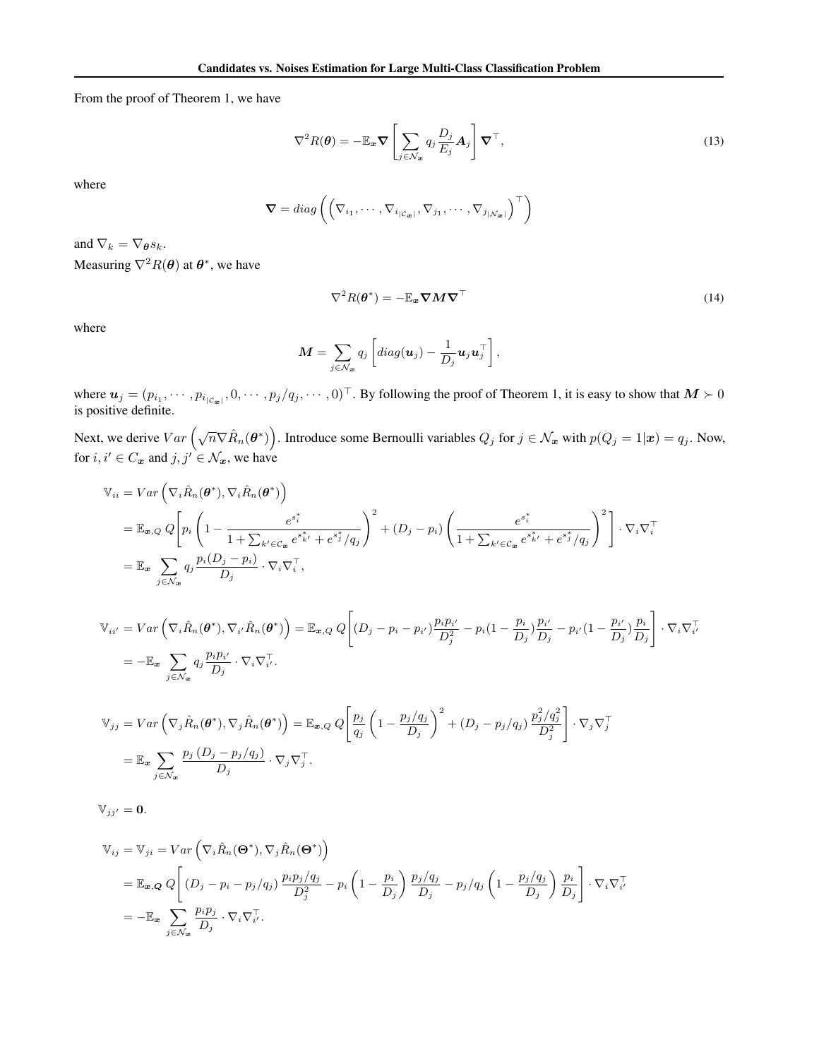From the proof of Theorem 1, we have

$$
\nabla^2 R(\boldsymbol{\theta}) = -\mathbb{E}_{\boldsymbol{x}} \boldsymbol{\nabla} \left[ \sum_{j \in \mathcal{N}_{\boldsymbol{x}}} q_j \frac{D_j}{E_j} \boldsymbol{A}_j \right] \boldsymbol{\nabla}^\top,
$$
\n(13)

where

$$
\nabla = diag\left(\left(\nabla_{i_1}, \cdots, \nabla_{i_{|\mathcal{C}_{\mathbf{x}}|}}, \nabla_{j_1}, \cdots, \nabla_{j_{|\mathcal{N}_{\mathbf{x}}|}}\right)^{\top}\right)
$$

and  $\nabla_k = \nabla_{\theta} s_k$ .

Measuring  $\nabla^2 R(\theta)$  at  $\theta^*$ , we have

$$
\nabla^2 R(\boldsymbol{\theta}^*) = -\mathbb{E}_{\boldsymbol{x}} \boldsymbol{\nabla} \boldsymbol{M} \boldsymbol{\nabla}^\top
$$
\n(14)

where

$$
\mathbf{M} = \sum_{j \in \mathcal{N}_{\mathbf{x}}} q_j \left[ diag(\mathbf{u}_j) - \frac{1}{D_j} \mathbf{u}_j \mathbf{u}_j^\top \right],
$$

where  $u_j = (p_{i_1}, \dots, p_{i_{|C_{\varpi}|}}, 0, \dots, p_j/q_j, \dots, 0)^\top$ . By following the proof of Theorem 1, it is easy to show that  $M \succ 0$ is positive definite.

Next, we derive  $Var\left(\sqrt{n}\nabla \hat{R}_n(\theta^*)\right)$ . Introduce some Bernoulli variables  $Q_j$  for  $j \in \mathcal{N}_{\bm{x}}$  with  $p(Q_j = 1|\bm{x}) = q_j$ . Now, for  $i, i' \in C_x$  and  $j, j' \in \mathcal{N}_x$ , we have

$$
\begin{split} \mathbb{V}_{ii} &= Var\left(\nabla_i \hat{R}_n(\boldsymbol{\theta}^*), \nabla_i \hat{R}_n(\boldsymbol{\theta}^*)\right) \\ &= \mathbb{E}_{\boldsymbol{x},Q} Q\Bigg[p_i\left(1 - \frac{e^{s_i^*}}{1 + \sum_{k' \in \mathcal{C}_{\boldsymbol{x}}} e^{s_{k'}^*} + e^{s_j^*}/q_j}\right)^2 + (D_j - p_i)\left(\frac{e^{s_i^*}}{1 + \sum_{k' \in \mathcal{C}_{\boldsymbol{x}}} e^{s_{k'}^*} + e^{s_j^*}/q_j}\right)^2\right] \cdot \nabla_i \nabla_i^\top \\ &= \mathbb{E}_{\boldsymbol{x}} \sum_{j \in \mathcal{N}_{\boldsymbol{x}}} q_j \frac{p_i(D_j - p_i)}{D_j} \cdot \nabla_i \nabla_i^\top, \end{split}
$$

$$
\mathbb{V}_{ii'} = Var\left(\nabla_i \hat{R}_n(\boldsymbol{\theta}^*), \nabla_{i'} \hat{R}_n(\boldsymbol{\theta}^*)\right) = \mathbb{E}_{\boldsymbol{x}, Q} Q\left[ (D_j - p_i - p_{i'}) \frac{p_i p_{i'}}{D_j^2} - p_i (1 - \frac{p_i}{D_j}) \frac{p_{i'}}{D_j} - p_{i'} (1 - \frac{p_{i'}}{D_j}) \frac{p_i}{D_j} \right] \cdot \nabla_i \nabla_i^{\top}
$$
\n
$$
= -\mathbb{E}_{\boldsymbol{x}} \sum_{j \in \mathcal{N}_{\boldsymbol{x}}} q_j \frac{p_i p_{i'}}{D_j} \cdot \nabla_i \nabla_i^{\top}.
$$

$$
\mathbb{V}_{jj} = Var\left(\nabla_j \hat{R}_n(\boldsymbol{\theta}^*), \nabla_j \hat{R}_n(\boldsymbol{\theta}^*)\right) = \mathbb{E}_{\boldsymbol{x}, Q} Q\left[\frac{p_j}{q_j} \left(1 - \frac{p_j/q_j}{D_j}\right)^2 + (D_j - p_j/q_j) \frac{p_j^2/q_j^2}{D_j^2}\right] \cdot \nabla_j \nabla_j^{\top}
$$

$$
= \mathbb{E}_{\boldsymbol{x}} \sum_{j \in \mathcal{N}_{\boldsymbol{x}}} \frac{p_j \left(D_j - p_j/q_j\right)}{D_j} \cdot \nabla_j \nabla_j^{\top}.
$$

 $\mathbb{V}_{jj'} = 0.$ 

$$
\begin{split} \mathbb{V}_{ij} &= \mathbb{V}_{ji} = Var\left(\nabla_i \hat{R}_n(\Theta^*), \nabla_j \hat{R}_n(\Theta^*)\right) \\ &= \mathbb{E}_{\mathbf{x},\mathbf{Q}} Q\left[ \left(D_j - p_i - p_j/q_j\right) \frac{p_i p_j/q_j}{D_j^2} - p_i \left(1 - \frac{p_i}{D_j}\right) \frac{p_j/q_j}{D_j} - p_j/q_j \left(1 - \frac{p_j/q_j}{D_j}\right) \frac{p_i}{D_j}\right] \cdot \nabla_i \nabla_i^{\top}, \\ &= -\mathbb{E}_{\mathbf{x}} \sum_{j \in \mathcal{N}_{\mathbf{x}}} \frac{p_i p_j}{D_j} \cdot \nabla_i \nabla_i^{\top}. \end{split}
$$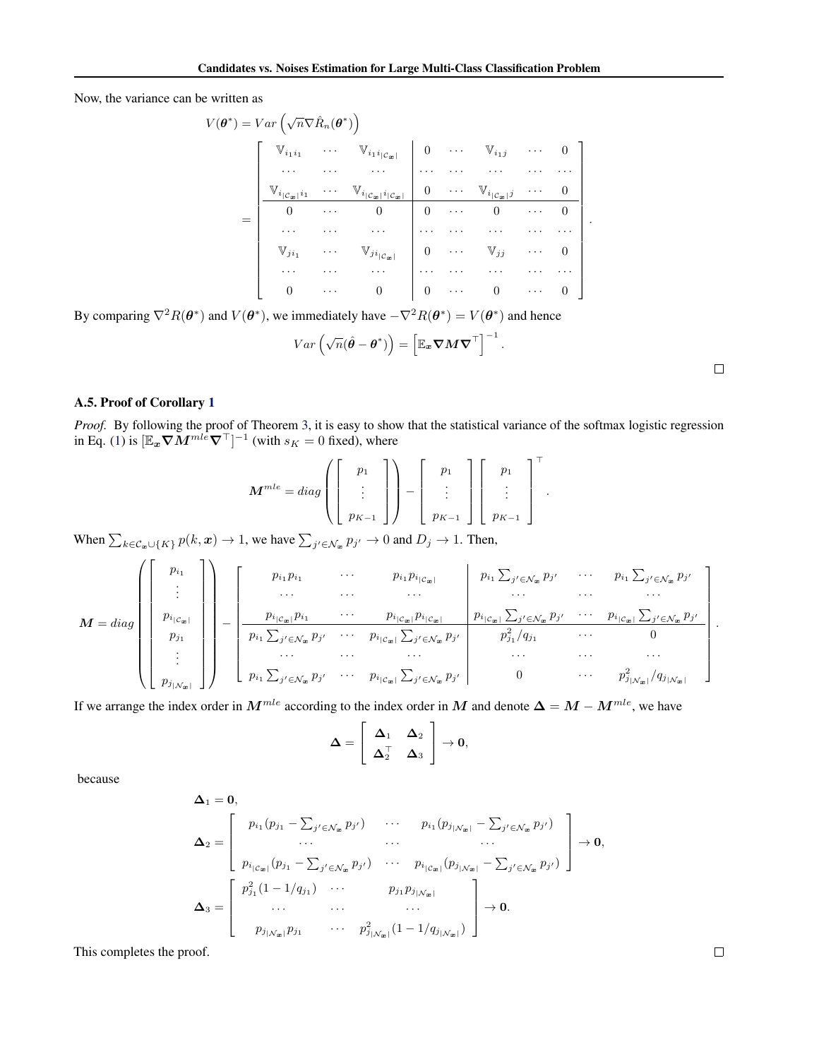Now, the variance can be written as

$$
V(\boldsymbol{\theta}^*) = Var\left(\sqrt{n}\nabla\hat{R}_n(\boldsymbol{\theta}^*)\right)
$$
  
\n
$$
\begin{bmatrix}\n\mathbb{V}_{i_1i_1} & \cdots & \mathbb{V}_{i_1i_{|\mathcal{C}_x|}} \\
\cdots & \cdots & \cdots & \cdots \\
\mathbb{V}_{i_{|\mathcal{C}_x|}i_1} & \cdots & \mathbb{V}_{i_{|\mathcal{C}_x|}i_{|\mathcal{C}_x|}}\n\end{bmatrix}\n\begin{bmatrix}\n0 & \cdots & \mathbb{V}_{i_1j} & \cdots & 0 \\
0 & \cdots & \cdots & \cdots & \cdots \\
\vdots & \ddots & \ddots & \vdots \\
0 & \cdots & 0 & 0 & \cdots & 0 \\
\vdots & \vdots & \ddots & \vdots & \ddots & \vdots \\
\mathbb{V}_{ji_1} & \cdots & \mathbb{V}_{ji_{|\mathcal{C}_x|}}\n\end{bmatrix}\n\begin{bmatrix}\n0 & \cdots & \mathbb{V}_{i_1j} & \cdots & 0 \\
0 & \cdots & \mathbb{V}_{i_{|\mathcal{C}_x|}j} & \cdots & 0 \\
\vdots & \ddots & \ddots & \vdots & \ddots \\
\vdots & \ddots & \ddots & \vdots & \ddots \\
\vdots & \ddots & \ddots & \vdots & \ddots \\
\vdots & \ddots & \ddots & \vdots & \ddots & \vdots \\
\vdots & \ddots & \ddots & \ddots & \vdots & \ddots \\
\vdots & \ddots & \ddots & \ddots & \ddots & \vdots \\
\vdots & \ddots & \ddots & \ddots & \ddots & \vdots \\
\vdots & \ddots & \ddots & \ddots & \ddots & \vdots \\
\vdots & \ddots & \ddots & \ddots & \ddots & \vdots \\
\vdots & \ddots & \ddots & \ddots & \ddots & \vdots \\
\vdots & \ddots & \ddots & \ddots & \ddots & \vdots \\
\vdots & \ddots & \ddots & \ddots & \ddots & \vdots \\
\vdots & \ddots & \ddots & \ddots & \ddots & \vdots \\
\vdots & \ddots & \ddots & \ddots & \ddots & \vdots \\
\vdots & \ddots & \ddots & \ddots & \ddots & \vdots \\
\vdots & \ddots & \ddots & \ddots & \ddots & \vdots \\
$$

By comparing  $\nabla^2 R(\theta^*)$  and  $V(\theta^*)$ , we immediately have  $-\nabla^2 R(\theta^*) = V(\theta^*)$  and hence

$$
Var\left(\sqrt{n}(\hat{\boldsymbol{\theta}} - \boldsymbol{\theta}^*)\right) = \left[\mathbb{E}_{\boldsymbol{x}} \boldsymbol{\nabla} \boldsymbol{M} \boldsymbol{\nabla}^\top\right]^{-1}.
$$

#### A.5. Proof of Corollary [1](#page-2-0)

*Proof.* By following the proof of Theorem [3,](#page-2-0) it is easy to show that the statistical variance of the softmax logistic regression in Eq. [\(1\)](#page-1-0) is  $[\mathbb{E}_{x} \nabla M^{mle} \nabla^{\top}]^{-1}$  (with  $s_K = 0$  fixed), where

$$
\boldsymbol{M}^{mle} = diag\left(\left[\begin{array}{c}p_1 \\ \vdots \\ p_{K-1}\end{array}\right]\right) - \left[\begin{array}{c}p_1 \\ \vdots \\ p_{K-1}\end{array}\right] \left[\begin{array}{c}p_1 \\ \vdots \\ p_{K-1}\end{array}\right]^\top.
$$

When  $\sum_{k \in \mathcal{C}_x \cup \{K\}} p(k, x) \to 1$ , we have  $\sum_{j' \in \mathcal{N}_x} p_{j'} \to 0$  and  $D_j \to 1$ . Then,

M = diag p<sup>i</sup><sup>1</sup> . . . p<sup>i</sup>|Cx<sup>|</sup> p<sup>j</sup><sup>1</sup> . . . p<sup>j</sup>|Nx<sup>|</sup> − p<sup>i</sup><sup>1</sup> p<sup>i</sup><sup>1</sup> · · · p<sup>i</sup><sup>1</sup> p<sup>i</sup>|Cx<sup>|</sup> p<sup>i</sup><sup>1</sup> P j <sup>0</sup>∈N<sup>x</sup> pj <sup>0</sup> · · · p<sup>i</sup><sup>1</sup> P j <sup>0</sup>∈N<sup>x</sup> pj 0 · · · · · · · · · · · · · · · · · · p<sup>i</sup>|Cx<sup>|</sup> p<sup>i</sup><sup>1</sup> · · · p<sup>i</sup>|Cx<sup>|</sup> p<sup>i</sup>|Cx<sup>|</sup> p<sup>i</sup>|Cx<sup>|</sup> P j <sup>0</sup>∈N<sup>x</sup> pj <sup>0</sup> · · · p<sup>i</sup>|Cx<sup>|</sup> P j <sup>0</sup>∈N<sup>x</sup> pj 0 p<sup>i</sup><sup>1</sup> P j <sup>0</sup>∈N<sup>x</sup> pj <sup>0</sup> · · · p<sup>i</sup>|Cx<sup>|</sup> P j <sup>0</sup>∈N<sup>x</sup> pj <sup>0</sup> p 2 j1 /q<sup>j</sup><sup>1</sup> · · · 0 · · · · · · · · · · · · · · · · · · p<sup>i</sup><sup>1</sup> P j <sup>0</sup>∈N<sup>x</sup> pj <sup>0</sup> · · · p<sup>i</sup>|Cx<sup>|</sup> P j <sup>0</sup>∈N<sup>x</sup> pj <sup>0</sup> 0 · · · p 2 j|Nx<sup>|</sup> /q<sup>j</sup>|Nx<sup>|</sup> .

If we arrange the index order in  $M^{mle}$  according to the index order in M and denote  $\Delta = M - M^{mle}$ , we have

$$
\Delta = \left[ \begin{array}{cc} \Delta_1 & \Delta_2 \\ \Delta_2^{\top} & \Delta_3 \end{array} \right] \rightarrow 0,
$$

because

$$
\Delta_{1} = 0,
$$
\n
$$
\Delta_{2} = \begin{bmatrix}\np_{i_{1}}(p_{j_{1}} - \sum_{j' \in \mathcal{N}_{\mathbf{x}}} p_{j'}) & \cdots & p_{i_{1}}(p_{j_{|\mathcal{N}_{\mathbf{x}}|}} - \sum_{j' \in \mathcal{N}_{\mathbf{x}}} p_{j'}) \\
\vdots & \ddots & \vdots \\
p_{i_{|\mathcal{C}_{\mathbf{x}}|}}(p_{j_{1}} - \sum_{j' \in \mathcal{N}_{\mathbf{x}}} p_{j'}) & \cdots & p_{i_{|\mathcal{C}_{\mathbf{x}}|}}(p_{j_{|\mathcal{N}_{\mathbf{x}}|}} - \sum_{j' \in \mathcal{N}_{\mathbf{x}}} p_{j'})\n\end{bmatrix} \rightarrow 0,
$$
\n
$$
\Delta_{3} = \begin{bmatrix}\np_{j_{1}}^{2}(1 - 1/q_{j_{1}}) & \cdots & p_{j_{1}}p_{j_{|\mathcal{N}_{\mathbf{x}}|}} \\
\vdots & \ddots & \vdots \\
p_{j_{|\mathcal{N}_{\mathbf{x}}|}}p_{j_{1}} & \cdots & p_{j_{|\mathcal{N}_{\mathbf{x}}|}}(1 - 1/q_{j_{|\mathcal{N}_{\mathbf{x}}|}})\n\end{bmatrix} \rightarrow 0.
$$

This completes the proof.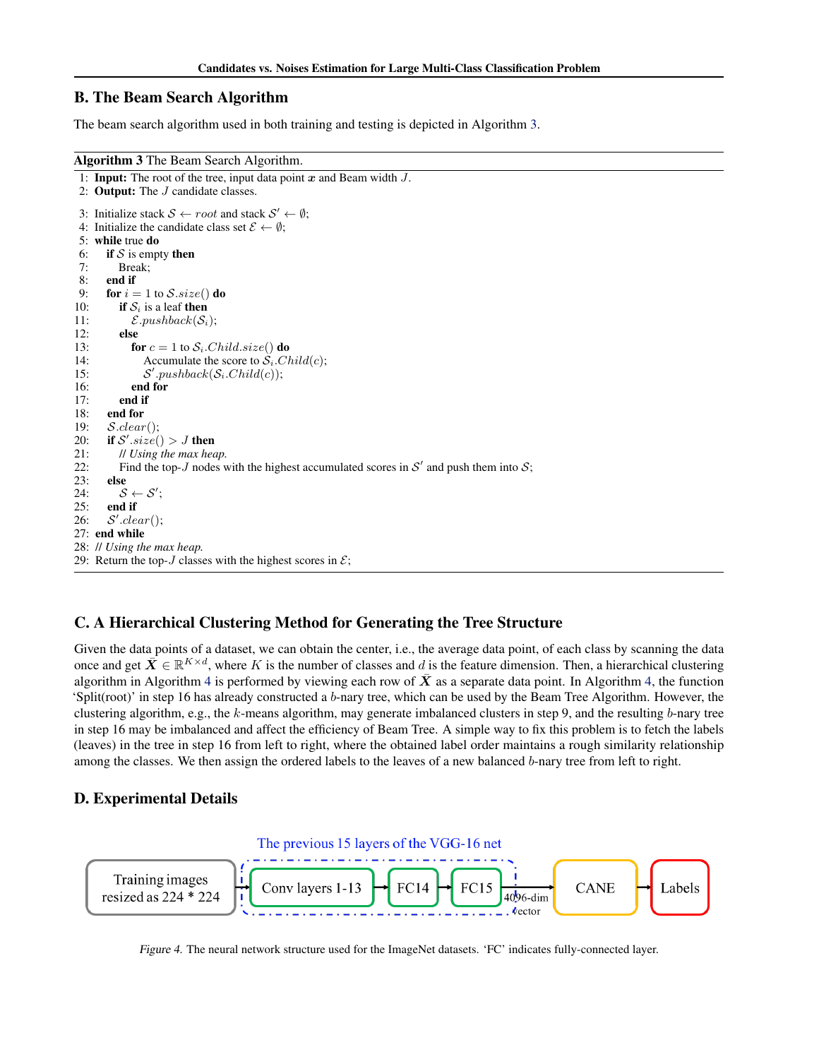# <span id="page-15-0"></span>B. The Beam Search Algorithm

The beam search algorithm used in both training and testing is depicted in Algorithm 3.

#### Algorithm 3 The Beam Search Algorithm.

```
1: Input: The root of the tree, input data point x and Beam width J.
 2: Output: The J candidate classes.
 3: Initialize stack S \leftarrow root and stack S' \leftarrow \emptyset;
 4: Initialize the candidate class set \mathcal{E} \leftarrow \emptyset;
 5: while true do
 6: if S is empty then
 7: Break;
8: end if<br>9: for i =for i = 1 to \mathcal{S}.size() do
10: if S_i is a leaf then
11: \mathcal{E}.pushback(\mathcal{S}_i);12: else
13: for c = 1 to S_i. Child.size() do<br>14: Accumulate the score to S_i. Ch
               Accumulate the score to \mathcal{S}_i. Child(c);
15:'.pushback(S_i.Cchild(c));
16: end for
17: end if
18: end for
19: S.clear();
20: if S'.size() > J then
21: // Using the max heap.
22: Find the top-J nodes with the highest accumulated scores in S' and push them into S;
23: else
24: S \leftarrow S';
25: end if
26:'.clear();27: end while
28: // Using the max heap.
29: Return the top-J classes with the highest scores in \mathcal{E};
```
# C. A Hierarchical Clustering Method for Generating the Tree Structure

Given the data points of a dataset, we can obtain the center, i.e., the average data point, of each class by scanning the data once and get  $\bar{X} \in \mathbb{R}^{K \times d}$ , where K is the number of classes and d is the feature dimension. Then, a hierarchical clustering algorithm in Algorithm [4](#page-16-0) is performed by viewing each row of  $\vec{X}$  as a separate data point. In Algorithm [4,](#page-16-0) the function 'Split(root)' in step 16 has already constructed a b-nary tree, which can be used by the Beam Tree Algorithm. However, the clustering algorithm, e.g., the k-means algorithm, may generate imbalanced clusters in step 9, and the resulting b-nary tree in step 16 may be imbalanced and affect the efficiency of Beam Tree. A simple way to fix this problem is to fetch the labels (leaves) in the tree in step 16 from left to right, where the obtained label order maintains a rough similarity relationship among the classes. We then assign the ordered labels to the leaves of a new balanced b-nary tree from left to right.

# D. Experimental Details



Figure 4. The neural network structure used for the ImageNet datasets. 'FC' indicates fully-connected layer.